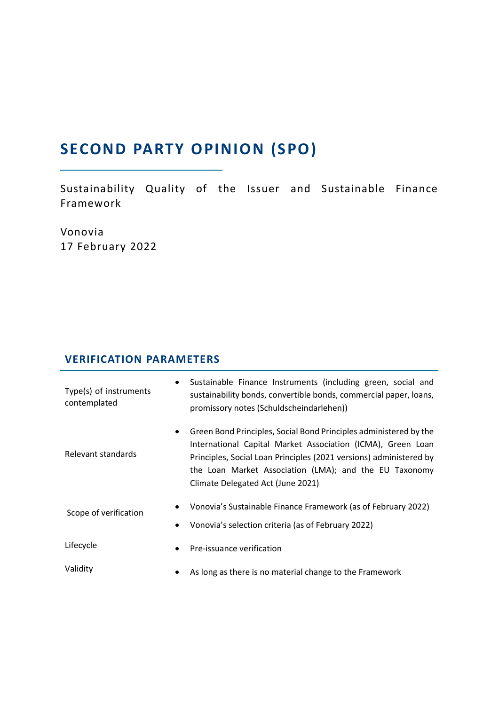# **SECOND PARTY OPINION (SPO)**

Sustainability Quality of the Issuer and Sustainable Finance Framework

Vonovia 17 February 2022

# **VERIFICATION PARAMETERS**

| $\bullet$<br>Type(s) of instruments<br>contemplated | Sustainable Finance Instruments (including green, social and<br>sustainability bonds, convertible bonds, commercial paper, loans,<br>promissory notes (Schuldscheindarlehen))                                                                                                                         |
|-----------------------------------------------------|-------------------------------------------------------------------------------------------------------------------------------------------------------------------------------------------------------------------------------------------------------------------------------------------------------|
| ٠<br>Relevant standards                             | Green Bond Principles, Social Bond Principles administered by the<br>International Capital Market Association (ICMA), Green Loan<br>Principles, Social Loan Principles (2021 versions) administered by<br>the Loan Market Association (LMA); and the EU Taxonomy<br>Climate Delegated Act (June 2021) |
| ٠<br>Scope of verification                          | Vonovia's Sustainable Finance Framework (as of February 2022)                                                                                                                                                                                                                                         |
| ٠                                                   | Vonovia's selection criteria (as of February 2022)                                                                                                                                                                                                                                                    |
| Lifecycle<br>$\bullet$                              | Pre-issuance verification                                                                                                                                                                                                                                                                             |
| Validity                                            | As long as there is no material change to the Framework                                                                                                                                                                                                                                               |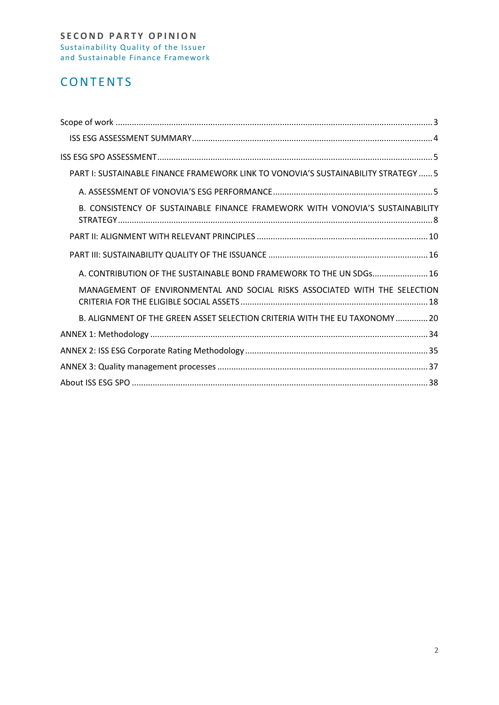Sustainability Quality of the Issuer and Sustainable Finance Framework

# **CONTENTS**

| PART I: SUSTAINABLE FINANCE FRAMEWORK LINK TO VONOVIA'S SUSTAINABILITY STRATEGY  5 |
|------------------------------------------------------------------------------------|
|                                                                                    |
| B. CONSISTENCY OF SUSTAINABLE FINANCE FRAMEWORK WITH VONOVIA'S SUSTAINABILITY      |
|                                                                                    |
|                                                                                    |
| A. CONTRIBUTION OF THE SUSTAINABLE BOND FRAMEWORK TO THE UN SDGs 16                |
| MANAGEMENT OF ENVIRONMENTAL AND SOCIAL RISKS ASSOCIATED WITH THE SELECTION         |
| B. ALIGNMENT OF THE GREEN ASSET SELECTION CRITERIA WITH THE EU TAXONOMY  20        |
|                                                                                    |
|                                                                                    |
|                                                                                    |
|                                                                                    |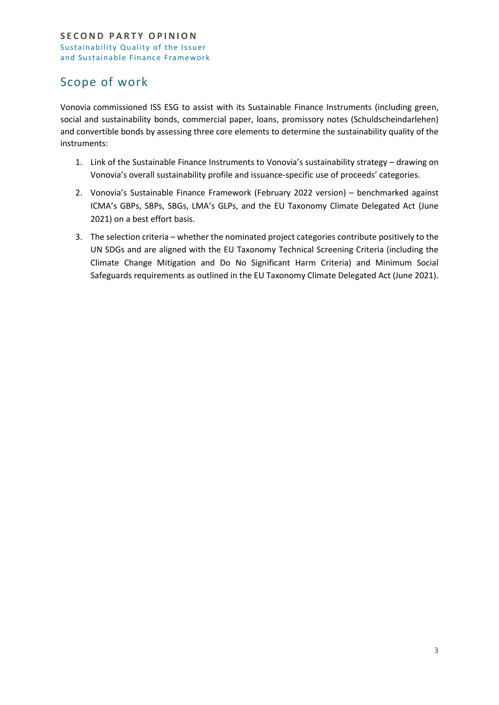Sustainability Quality of the Issuer and Sustainable Finance Framework

# <span id="page-2-0"></span>Scope of work

Vonovia commissioned ISS ESG to assist with its Sustainable Finance Instruments (including green, social and sustainability bonds, commercial paper, loans, promissory notes (Schuldscheindarlehen) and convertible bonds by assessing three core elements to determine the sustainability quality of the instruments:

- 1. Link of the Sustainable Finance Instruments to Vonovia's sustainability strategy drawing on Vonovia's overall sustainability profile and issuance-specific use of proceeds' categories.
- 2. Vonovia's Sustainable Finance Framework (February 2022 version) benchmarked against ICMA's GBPs, SBPs, SBGs, LMA's GLPs, and the EU Taxonomy Climate Delegated Act (June 2021) on a best effort basis.
- 3. The selection criteria whether the nominated project categories contribute positively to the UN SDGs and are aligned with the EU Taxonomy Technical Screening Criteria (including the Climate Change Mitigation and Do No Significant Harm Criteria) and Minimum Social Safeguards requirements as outlined in the EU Taxonomy Climate Delegated Act (June 2021).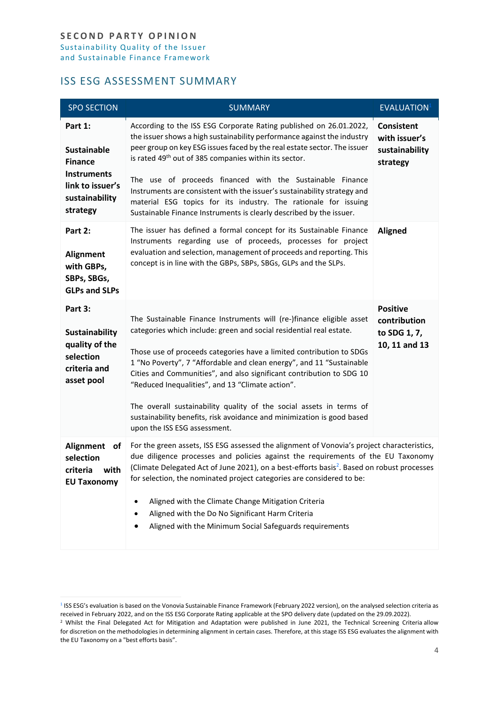Sustainability Quality of the Issuer and Sustainable Finance Framework

# <span id="page-3-0"></span>ISS ESG ASSESSMENT SUMMARY

| <b>SPO SECTION</b>                                                                                                      | <b>SUMMARY</b>                                                                                                                                                                                                                                                                                                                                                                                                                                                                                                                                                                                           | <b>EVALUATION</b> <sup>1</sup>                                   |
|-------------------------------------------------------------------------------------------------------------------------|----------------------------------------------------------------------------------------------------------------------------------------------------------------------------------------------------------------------------------------------------------------------------------------------------------------------------------------------------------------------------------------------------------------------------------------------------------------------------------------------------------------------------------------------------------------------------------------------------------|------------------------------------------------------------------|
| Part 1:<br><b>Sustainable</b><br><b>Finance</b><br><b>Instruments</b><br>link to issuer's<br>sustainability<br>strategy | According to the ISS ESG Corporate Rating published on 26.01.2022,<br>the issuer shows a high sustainability performance against the industry<br>peer group on key ESG issues faced by the real estate sector. The issuer<br>is rated 49 <sup>th</sup> out of 385 companies within its sector.<br>The use of proceeds financed with the Sustainable Finance<br>Instruments are consistent with the issuer's sustainability strategy and<br>material ESG topics for its industry. The rationale for issuing<br>Sustainable Finance Instruments is clearly described by the issuer.                        | <b>Consistent</b><br>with issuer's<br>sustainability<br>strategy |
| Part 2:<br><b>Alignment</b><br>with GBPs,<br>SBPs, SBGs,<br><b>GLPs and SLPs</b>                                        | The issuer has defined a formal concept for its Sustainable Finance<br>Instruments regarding use of proceeds, processes for project<br>evaluation and selection, management of proceeds and reporting. This<br>concept is in line with the GBPs, SBPs, SBGs, GLPs and the SLPs.                                                                                                                                                                                                                                                                                                                          | <b>Aligned</b>                                                   |
| Part 3:<br><b>Sustainability</b><br>quality of the<br>selection<br>criteria and<br>asset pool                           | The Sustainable Finance Instruments will (re-)finance eligible asset<br>categories which include: green and social residential real estate.<br>Those use of proceeds categories have a limited contribution to SDGs<br>1 "No Poverty", 7 "Affordable and clean energy", and 11 "Sustainable<br>Cities and Communities", and also significant contribution to SDG 10<br>"Reduced Inequalities", and 13 "Climate action".<br>The overall sustainability quality of the social assets in terms of<br>sustainability benefits, risk avoidance and minimization is good based<br>upon the ISS ESG assessment. | <b>Positive</b><br>contribution<br>to SDG 1, 7,<br>10, 11 and 13 |
| Alignment<br>of<br>selection<br>criteria<br>with<br><b>EU Taxonomy</b>                                                  | For the green assets, ISS ESG assessed the alignment of Vonovia's project characteristics,<br>due diligence processes and policies against the requirements of the EU Taxonomy<br>(Climate Delegated Act of June 2021), on a best-efforts basis <sup>2</sup> . Based on robust processes<br>for selection, the nominated project categories are considered to be:<br>Aligned with the Climate Change Mitigation Criteria<br>$\bullet$<br>Aligned with the Do No Significant Harm Criteria<br>٠<br>Aligned with the Minimum Social Safeguards requirements                                                |                                                                  |

<sup>&</sup>lt;sup>1</sup> ISS ESG's evaluation is based on the Vonovia Sustainable Finance Framework (February 2022 version), on the analysed selection criteria as received in February 2022, and on the ISS ESG Corporate Rating applicable at the SPO delivery date (updated on the 29.09.2022).

<sup>&</sup>lt;sup>2</sup> Whilst the Final Delegated Act for Mitigation and Adaptation were published in June 2021, the Technical Screening Criteria allow for discretion on the methodologies in determining alignment in certain cases. Therefore, at this stage ISS ESG evaluates the alignment with the EU Taxonomy on a "best efforts basis".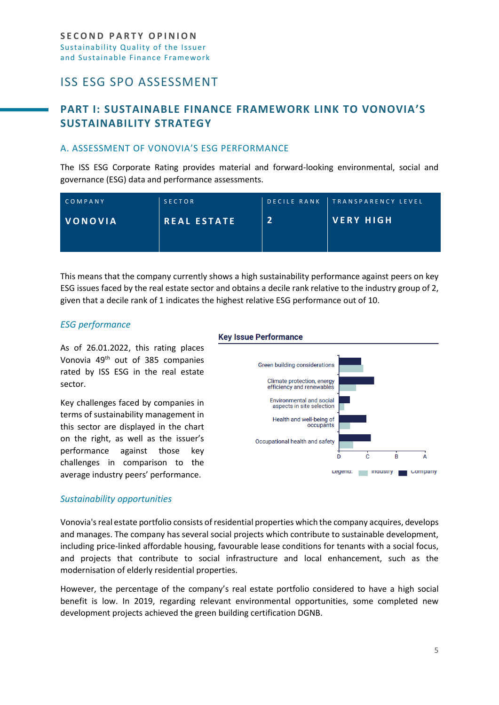Sustainability Quality of the Issuer and Sustainable Finance Framework

# <span id="page-4-0"></span>ISS ESG SPO ASSESSMENT

# <span id="page-4-1"></span>**PART I: SUSTAINABLE FINANCE FRAMEWORK LINK TO VONOVIA'S SUSTAINABILITY STRATEGY**

#### <span id="page-4-2"></span>A. ASSESSMENT OF VONOVIA'S ESG PERFORMANCE

The ISS ESG Corporate Rating provides material and forward-looking environmental, social and governance (ESG) data and performance assessments.

| COMPANY        | <b>SECTOR</b>      | DECILE RANK TRANSPARENCY LEVEL |
|----------------|--------------------|--------------------------------|
| <b>VONOVIA</b> | <b>REAL ESTATE</b> | VERY HIGH                      |

This means that the company currently shows a high sustainability performance against peers on key ESG issues faced by the real estate sector and obtains a decile rank relative to the industry group of 2, given that a decile rank of 1 indicates the highest relative ESG performance out of 10.

#### *ESG performance*

As of 26.01.2022, this rating places Vonovia 49<sup>th</sup> out of 385 companies rated by ISS ESG in the real estate sector.

Key challenges faced by companies in terms of sustainability management in this sector are displayed in the chart on the right, as well as the issuer's performance against those key challenges in comparison to the average industry peers' performance.

*Sustainability opportunities*

# **Key Issue Performance**



#### Vonovia's real estate portfolio consists of residential properties which the company acquires, develops and manages. The company has several social projects which contribute to sustainable development, including price-linked affordable housing, favourable lease conditions for tenants with a social focus, and projects that contribute to social infrastructure and local enhancement, such as the modernisation of elderly residential properties.

However, the percentage of the company's real estate portfolio considered to have a high social benefit is low. In 2019, regarding relevant environmental opportunities, some completed new development projects achieved the green building certification DGNB.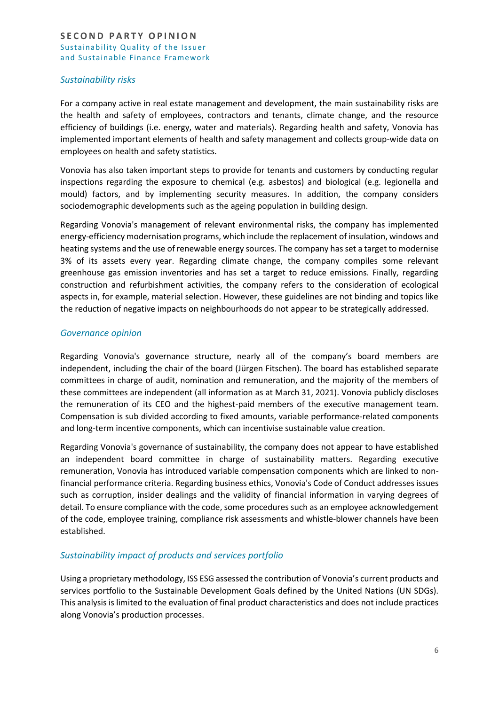Sustainability Quality of the Issuer and Sustainable Finance Framework

#### *Sustainability risks*

For a company active in real estate management and development, the main sustainability risks are the health and safety of employees, contractors and tenants, climate change, and the resource efficiency of buildings (i.e. energy, water and materials). Regarding health and safety, Vonovia has implemented important elements of health and safety management and collects group-wide data on employees on health and safety statistics.

Vonovia has also taken important steps to provide for tenants and customers by conducting regular inspections regarding the exposure to chemical (e.g. asbestos) and biological (e.g. legionella and mould) factors, and by implementing security measures. In addition, the company considers sociodemographic developments such as the ageing population in building design.

Regarding Vonovia's management of relevant environmental risks, the company has implemented energy-efficiency modernisation programs, which include the replacement of insulation, windows and heating systems and the use of renewable energy sources. The company has set a target to modernise 3% of its assets every year. Regarding climate change, the company compiles some relevant greenhouse gas emission inventories and has set a target to reduce emissions. Finally, regarding construction and refurbishment activities, the company refers to the consideration of ecological aspects in, for example, material selection. However, these guidelines are not binding and topics like the reduction of negative impacts on neighbourhoods do not appear to be strategically addressed.

#### *Governance opinion*

Regarding Vonovia's governance structure, nearly all of the company's board members are independent, including the chair of the board (Jürgen Fitschen). The board has established separate committees in charge of audit, nomination and remuneration, and the majority of the members of these committees are independent (all information as at March 31, 2021). Vonovia publicly discloses the remuneration of its CEO and the highest-paid members of the executive management team. Compensation is sub divided according to fixed amounts, variable performance-related components and long-term incentive components, which can incentivise sustainable value creation.

Regarding Vonovia's governance of sustainability, the company does not appear to have established an independent board committee in charge of sustainability matters. Regarding executive remuneration, Vonovia has introduced variable compensation components which are linked to nonfinancial performance criteria. Regarding business ethics, Vonovia's Code of Conduct addresses issues such as corruption, insider dealings and the validity of financial information in varying degrees of detail. To ensure compliance with the code, some procedures such as an employee acknowledgement of the code, employee training, compliance risk assessments and whistle-blower channels have been established.

#### *Sustainability impact of products and services portfolio*

Using a proprietary methodology, ISS ESG assessed the contribution of Vonovia's current products and services portfolio to the Sustainable Development Goals defined by the United Nations (UN SDGs). This analysis is limited to the evaluation of final product characteristics and does not include practices along Vonovia's production processes.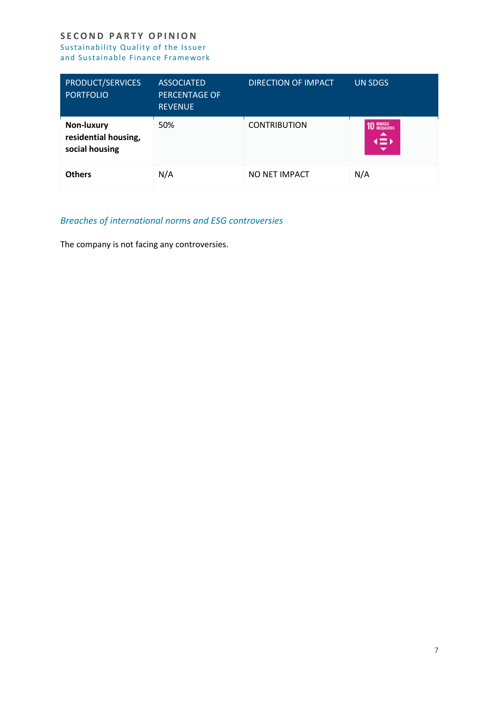#### Sustainability Quality of the Issuer and Sustainable Finance Framework

| PRODUCT/SERVICES<br><b>PORTFOLIO</b>                        | <b>ASSOCIATED</b><br><b>PERCENTAGE OF</b><br><b>REVENUE</b> | <b>DIRECTION OF IMPACT</b> | <b>UN SDGS</b>                   |
|-------------------------------------------------------------|-------------------------------------------------------------|----------------------------|----------------------------------|
| <b>Non-luxury</b><br>residential housing,<br>social housing | 50%                                                         | <b>CONTRIBUTION</b>        | REDUCED<br>Inequalities<br>4 = D |
| <b>Others</b>                                               | N/A                                                         | NO NET IMPACT              | N/A                              |

### *Breaches of international norms and ESG controversies*

The company is not facing any controversies.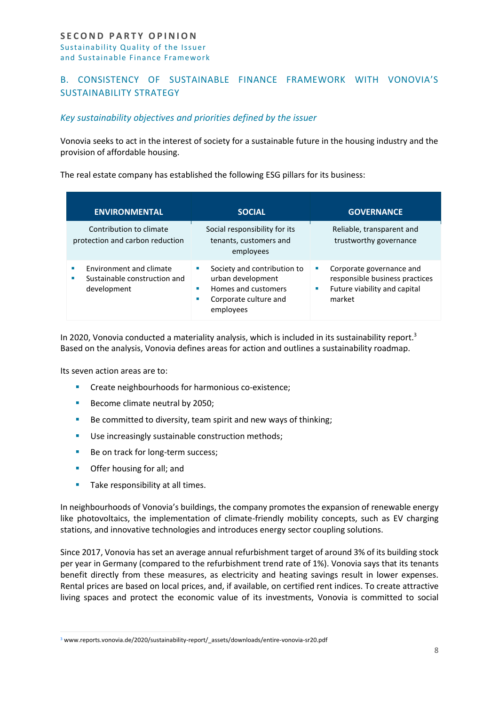Sustainability Quality of the Issuer and Sustainable Finance Framework

### <span id="page-7-0"></span>B. CONSISTENCY OF SUSTAINABLE FINANCE FRAMEWORK WITH VONOVIA'S SUSTAINABILITY STRATEGY

#### *Key sustainability objectives and priorities defined by the issuer*

Vonovia seeks to act in the interest of society for a sustainable future in the housing industry and the provision of affordable housing.

The real estate company has established the following ESG pillars for its business:

| <b>ENVIRONMENTAL</b>                                                              | <b>SOCIAL</b>                                                                                                                | <b>GOVERNANCE</b>                                                                                                    |
|-----------------------------------------------------------------------------------|------------------------------------------------------------------------------------------------------------------------------|----------------------------------------------------------------------------------------------------------------------|
| Contribution to climate<br>protection and carbon reduction                        | Social responsibility for its<br>tenants, customers and<br>employees                                                         | Reliable, transparent and<br>trustworthy governance                                                                  |
| Environment and climate<br>ш<br>Sustainable construction and<br>m.<br>development | Society and contribution to<br>ш<br>urban development<br>Homes and customers<br>ш<br>Corporate culture and<br>ш<br>employees | Corporate governance and<br>ш<br>responsible business practices<br>Future viability and capital<br>and the<br>market |

In 2020, Vonovia conducted a materiality analysis, which is included in its sustainability report.<sup>3</sup> Based on the analysis, Vonovia defines areas for action and outlines a sustainability roadmap.

Its seven action areas are to:

- Create neighbourhoods for harmonious co-existence;
- Become climate neutral by 2050;
- Be committed to diversity, team spirit and new ways of thinking;
- **■** Use increasingly sustainable construction methods;
- Be on track for long-term success;
- **•** Offer housing for all; and
- Take responsibility at all times.

In neighbourhoods of Vonovia's buildings, the company promotes the expansion of renewable energy like photovoltaics, the implementation of climate-friendly mobility concepts, such as EV charging stations, and innovative technologies and introduces energy sector coupling solutions.

Since 2017, Vonovia has set an average annual refurbishment target of around 3% of its building stock per year in Germany (compared to the refurbishment trend rate of 1%). Vonovia says that its tenants benefit directly from these measures, as electricity and heating savings result in lower expenses. Rental prices are based on local prices, and, if available, on certified rent indices. To create attractive living spaces and protect the economic value of its investments, Vonovia is committed to social

<sup>&</sup>lt;sup>3</sup> www.reports.vonovia.de/2020/sustainability-report/ assets/downloads/entire-vonovia-sr20.pdf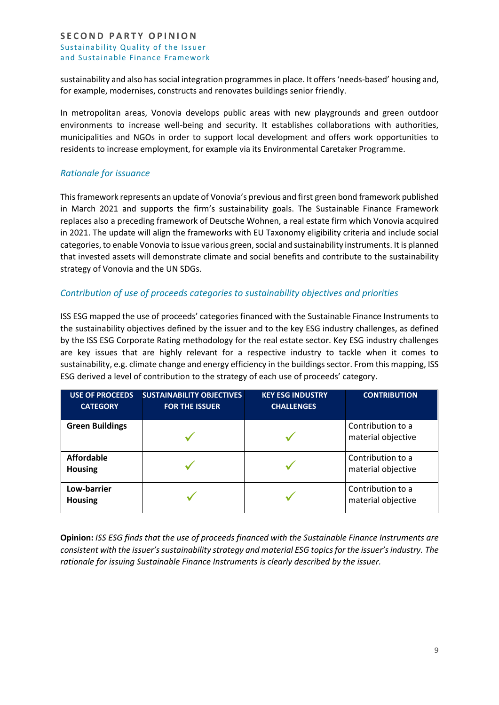#### Sustainability Quality of the Issuer and Sustainable Finance Framework

sustainability and also has social integration programmes in place. It offers 'needs-based' housing and, for example, modernises, constructs and renovates buildings senior friendly.

In metropolitan areas, Vonovia develops public areas with new playgrounds and green outdoor environments to increase well-being and security. It establishes collaborations with authorities, municipalities and NGOs in order to support local development and offers work opportunities to residents to increase employment, for example via its Environmental Caretaker Programme.

#### *Rationale for issuance*

This framework represents an update of Vonovia's previous and first green bond framework published in March 2021 and supports the firm's sustainability goals. The Sustainable Finance Framework replaces also a preceding framework of Deutsche Wohnen, a real estate firm which Vonovia acquired in 2021. The update will align the frameworks with EU Taxonomy eligibility criteria and include social categories, to enable Vonovia to issue various green, social and sustainability instruments. It is planned that invested assets will demonstrate climate and social benefits and contribute to the sustainability strategy of Vonovia and the UN SDGs.

#### *Contribution of use of proceeds categories to sustainability objectives and priorities*

ISS ESG mapped the use of proceeds' categories financed with the Sustainable Finance Instruments to the sustainability objectives defined by the issuer and to the key ESG industry challenges, as defined by the ISS ESG Corporate Rating methodology for the real estate sector. Key ESG industry challenges are key issues that are highly relevant for a respective industry to tackle when it comes to sustainability, e.g. climate change and energy efficiency in the buildings sector. From this mapping, ISS ESG derived a level of contribution to the strategy of each use of proceeds' category.

| <b>USE OF PROCEEDS</b><br><b>CATEGORY</b> | <b>SUSTAINABILITY OBJECTIVES</b><br><b>FOR THE ISSUER</b> | <b>KEY ESG INDUSTRY</b><br><b>CHALLENGES</b> | <b>CONTRIBUTION</b>                     |
|-------------------------------------------|-----------------------------------------------------------|----------------------------------------------|-----------------------------------------|
| <b>Green Buildings</b>                    |                                                           |                                              | Contribution to a<br>material objective |
| <b>Affordable</b><br><b>Housing</b>       |                                                           |                                              | Contribution to a<br>material objective |
| Low-barrier<br><b>Housing</b>             |                                                           |                                              | Contribution to a<br>material objective |

**Opinion:** *ISS ESG finds that the use of proceeds financed with the Sustainable Finance Instruments are consistent with the issuer's sustainability strategy and material ESG topics for the issuer's industry. The rationale for issuing Sustainable Finance Instruments is clearly described by the issuer.*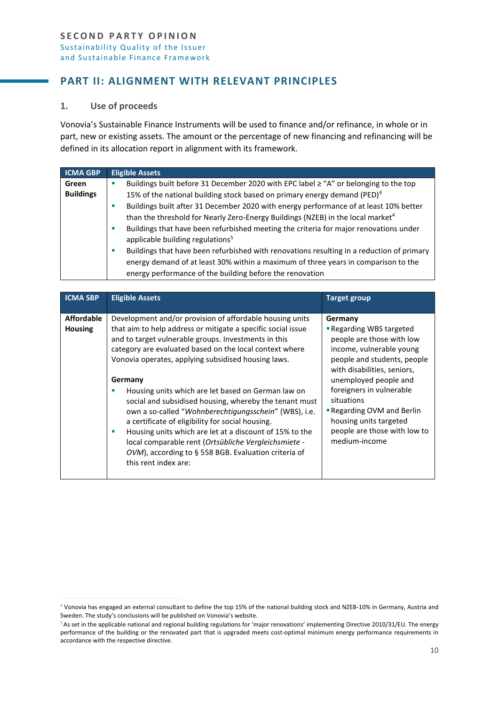#### Sustainability Quality of the Issuer and Sustainable Finance Framework

# <span id="page-9-0"></span>**PART II: ALIGNMENT WITH RELEVANT PRINCIPLES**

#### **1. Use of proceeds**

Vonovia's Sustainable Finance Instruments will be used to finance and/or refinance, in whole or in part, new or existing assets. The amount or the percentage of new financing and refinancing will be defined in its allocation report in alignment with its framework.

| <b>ICMA GBP</b>  |   | <b>Eligible Assets</b>                                                                                                                |
|------------------|---|---------------------------------------------------------------------------------------------------------------------------------------|
| Green            |   | Buildings built before 31 December 2020 with EPC label $\geq$ "A" or belonging to the top                                             |
| <b>Buildings</b> |   | 15% of the national building stock based on primary energy demand (PED) <sup>4</sup>                                                  |
|                  | п | Buildings built after 31 December 2020 with energy performance of at least 10% better                                                 |
|                  |   | than the threshold for Nearly Zero-Energy Buildings (NZEB) in the local market <sup>4</sup>                                           |
|                  | × | Buildings that have been refurbished meeting the criteria for major renovations under<br>applicable building regulations <sup>5</sup> |
|                  | ш | Buildings that have been refurbished with renovations resulting in a reduction of primary                                             |
|                  |   | energy demand of at least 30% within a maximum of three years in comparison to the                                                    |
|                  |   | energy performance of the building before the renovation                                                                              |

| <b>ICMA SBP</b>                     | <b>Eligible Assets</b>                                                                                                                                                                                                                                                                                                                                                                                                                                                                                                                                                                                                                                                                                                                             | <b>Target group</b>                                                                                                                                                                                                                                                                                                                                  |
|-------------------------------------|----------------------------------------------------------------------------------------------------------------------------------------------------------------------------------------------------------------------------------------------------------------------------------------------------------------------------------------------------------------------------------------------------------------------------------------------------------------------------------------------------------------------------------------------------------------------------------------------------------------------------------------------------------------------------------------------------------------------------------------------------|------------------------------------------------------------------------------------------------------------------------------------------------------------------------------------------------------------------------------------------------------------------------------------------------------------------------------------------------------|
| <b>Affordable</b><br><b>Housing</b> | Development and/or provision of affordable housing units<br>that aim to help address or mitigate a specific social issue<br>and to target vulnerable groups. Investments in this<br>category are evaluated based on the local context where<br>Vonovia operates, applying subsidised housing laws.<br>Germany<br>Housing units which are let based on German law on<br>social and subsidised housing, whereby the tenant must<br>own a so-called "Wohnberechtigungsschein" (WBS), i.e.<br>a certificate of eligibility for social housing.<br>Housing units which are let at a discount of 15% to the<br>п<br>local comparable rent (Ortsübliche Vergleichsmiete -<br>OVM), according to § 558 BGB. Evaluation criteria of<br>this rent index are: | Germany<br><b>• Regarding WBS targeted</b><br>people are those with low<br>income, vulnerable young<br>people and students, people<br>with disabilities, seniors,<br>unemployed people and<br>foreigners in vulnerable<br>situations<br><b>-</b> Regarding OVM and Berlin<br>housing units targeted<br>people are those with low to<br>medium-income |

<sup>4</sup> Vonovia has engaged an external consultant to define the top 15% of the national building stock and NZEB-10% in Germany, Austria and Sweden. The study's conclusions will be published on Vonovia's website.

<sup>5</sup> As set in the applicable national and regional building regulations for 'major renovations' implementing Directive 2010/31/EU. The energy performance of the building or the renovated part that is upgraded meets cost-optimal minimum energy performance requirements in accordance with the respective directive.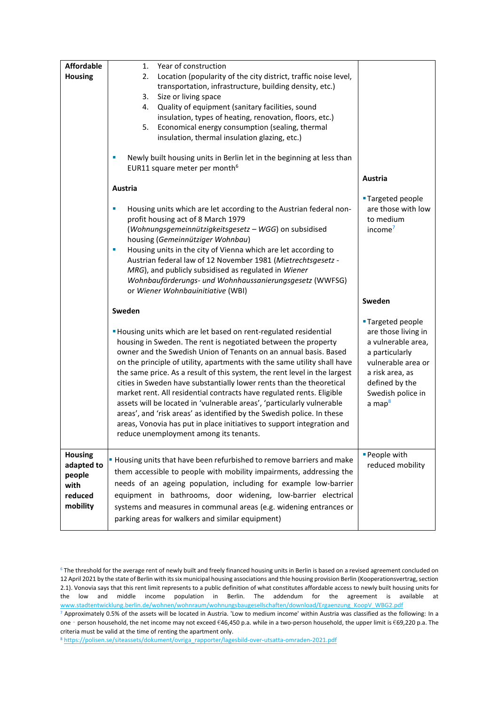| <b>Affordable</b> | Year of construction<br>1.                                                 |                        |
|-------------------|----------------------------------------------------------------------------|------------------------|
| <b>Housing</b>    | 2.<br>Location (popularity of the city district, traffic noise level,      |                        |
|                   | transportation, infrastructure, building density, etc.)                    |                        |
|                   | Size or living space<br>3.                                                 |                        |
|                   | Quality of equipment (sanitary facilities, sound<br>4.                     |                        |
|                   | insulation, types of heating, renovation, floors, etc.)                    |                        |
|                   | Economical energy consumption (sealing, thermal<br>5.                      |                        |
|                   | insulation, thermal insulation glazing, etc.)                              |                        |
|                   |                                                                            |                        |
|                   | Newly built housing units in Berlin let in the beginning at less than<br>ш |                        |
|                   | EUR11 square meter per month <sup>6</sup>                                  |                        |
|                   |                                                                            | Austria                |
|                   | Austria                                                                    |                        |
|                   |                                                                            | <b>Targeted people</b> |
|                   | ш                                                                          |                        |
|                   | Housing units which are let according to the Austrian federal non-         | are those with low     |
|                   | profit housing act of 8 March 1979                                         | to medium              |
|                   | (Wohnungsgemeinnützigkeitsgesetz - WGG) on subsidised                      | income <sup>7</sup>    |
|                   | housing (Gemeinnütziger Wohnbau)                                           |                        |
|                   | Housing units in the city of Vienna which are let according to<br>ш        |                        |
|                   | Austrian federal law of 12 November 1981 (Mietrechtsgesetz -               |                        |
|                   | MRG), and publicly subsidised as regulated in Wiener                       |                        |
|                   | Wohnbauförderungs- und Wohnhaussanierungsgesetz (WWFSG)                    |                        |
|                   | or Wiener Wohnbauinitiative (WBI)                                          |                        |
|                   |                                                                            |                        |
|                   |                                                                            | Sweden                 |
|                   | Sweden                                                                     |                        |
|                   |                                                                            | <b>Targeted people</b> |
|                   | "Housing units which are let based on rent-regulated residential           | are those living in    |
|                   | housing in Sweden. The rent is negotiated between the property             | a vulnerable area,     |
|                   | owner and the Swedish Union of Tenants on an annual basis. Based           | a particularly         |
|                   |                                                                            |                        |
|                   | on the principle of utility, apartments with the same utility shall have   | vulnerable area or     |
|                   | the same price. As a result of this system, the rent level in the largest  | a risk area, as        |
|                   | cities in Sweden have substantially lower rents than the theoretical       | defined by the         |
|                   | market rent. All residential contracts have regulated rents. Eligible      | Swedish police in      |
|                   | assets will be located in 'vulnerable areas', 'particularly vulnerable     | a map <sup>8</sup>     |
|                   | areas', and 'risk areas' as identified by the Swedish police. In these     |                        |
|                   | areas, Vonovia has put in place initiatives to support integration and     |                        |
|                   | reduce unemployment among its tenants.                                     |                        |
|                   |                                                                            |                        |
| <b>Housing</b>    | " Housing units that have been refurbished to remove barriers and make     | <b>People with</b>     |
| adapted to        |                                                                            | reduced mobility       |
| people            | them accessible to people with mobility impairments, addressing the        |                        |
| with              | needs of an ageing population, including for example low-barrier           |                        |
| reduced           | equipment in bathrooms, door widening, low-barrier electrical              |                        |
| mobility          | systems and measures in communal areas (e.g. widening entrances or         |                        |
|                   | parking areas for walkers and similar equipment)                           |                        |

<sup>8</sup> [https://polisen.se/siteassets/dokument/ovriga\\_rapporter/lagesbild-over-utsatta-omraden-2021.pdf](https://urldefense.com/v3/__https:/polisen.se/siteassets/dokument/ovriga_rapporter/lagesbild-over-utsatta-omraden-2021.pdf__;!!LwwZ4JhpcA!nrYAsObmenlAjXY9uAa9jXiax6Llc2MDirmp4Ui6lqLxaCXT8a7748rVfv6ztfTQGF9eEw$)

<sup>&</sup>lt;sup>6</sup> The threshold for the average rent of newly built and freely financed housing units in Berlin is based on a revised agreement concluded on 12 April 2021 by the state of Berlin with its six municipal housing associations and thIe housing provision Berlin (Kooperationsvertrag, section 2.1). Vonovia says that this rent limit represents to a public definition of what constitutes affordable access to newly built housing units for the low and middle income population in Berlin. The addendum for the agreement is available at [www.stadtentwicklung.berlin.de/wohnen/wohnraum/wohnungsbaugesellschaften/download/Ergaenzung\\_KoopV\\_WBG2.pdf](http://www.stadtentwicklung.berlin.de/wohnen/wohnraum/wohnungsbaugesellschaften/download/Ergaenzung_KoopV_WBG2.pdf)

<sup>7</sup> Approximately 0.5% of the assets will be located in Austria. 'Low to medium income' within Austria was classified as the following: In a one - person household, the net income may not exceed €46,450 p.a. while in a two-person household, the upper limit is €69,220 p.a. The criteria must be valid at the time of renting the apartment only.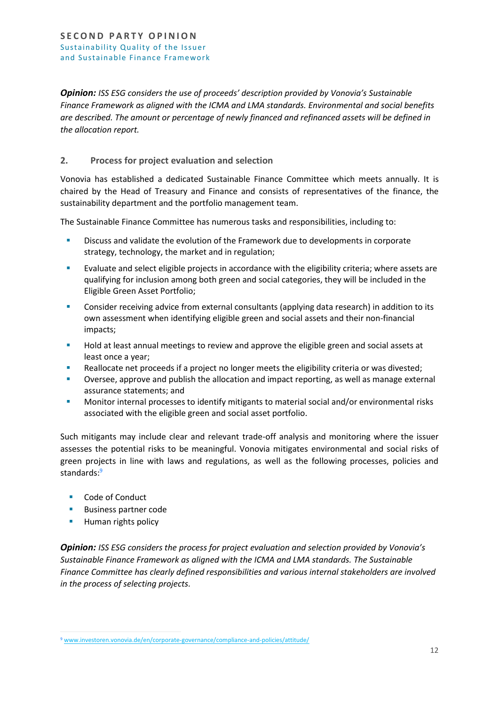*Opinion: ISS ESG considers the use of proceeds' description provided by Vonovia's Sustainable Finance Framework as aligned with the ICMA and LMA standards. Environmental and social benefits are described. The amount or percentage of newly financed and refinanced assets will be defined in the allocation report.* 

#### **2. Process for project evaluation and selection**

Vonovia has established a dedicated Sustainable Finance Committee which meets annually. It is chaired by the Head of Treasury and Finance and consists of representatives of the finance, the sustainability department and the portfolio management team.

The Sustainable Finance Committee has numerous tasks and responsibilities, including to:

- **■** Discuss and validate the evolution of the Framework due to developments in corporate strategy, technology, the market and in regulation;
- Evaluate and select eligible projects in accordance with the eligibility criteria; where assets are qualifying for inclusion among both green and social categories, they will be included in the Eligible Green Asset Portfolio;
- **•** Consider receiving advice from external consultants (applying data research) in addition to its own assessment when identifying eligible green and social assets and their non-financial impacts;
- Hold at least annual meetings to review and approve the eligible green and social assets at least once a year;
- **EXECT** Reallocate net proceeds if a project no longer meets the eligibility criteria or was divested;
- Oversee, approve and publish the allocation and impact reporting, as well as manage external assurance statements; and
- Monitor internal processes to identify mitigants to material social and/or environmental risks associated with the eligible green and social asset portfolio.

Such mitigants may include clear and relevant trade-off analysis and monitoring where the issuer assesses the potential risks to be meaningful. Vonovia mitigates environmental and social risks of green projects in line with laws and regulations, as well as the following processes, policies and standards:<sup>9</sup>

- Code of Conduct
- Business partner code
- Human rights policy

*Opinion: ISS ESG considers the process for project evaluation and selection provided by Vonovia's Sustainable Finance Framework as aligned with the ICMA and LMA standards. The Sustainable Finance Committee has clearly defined responsibilities and various internal stakeholders are involved in the process of selecting projects.*

<sup>9</sup> [www.investoren.vonovia.de/en/corporate-governance/compliance-and-policies/attitude/](http://www.investoren.vonovia.de/en/corporate-governance/compliance-and-policies/attitude/)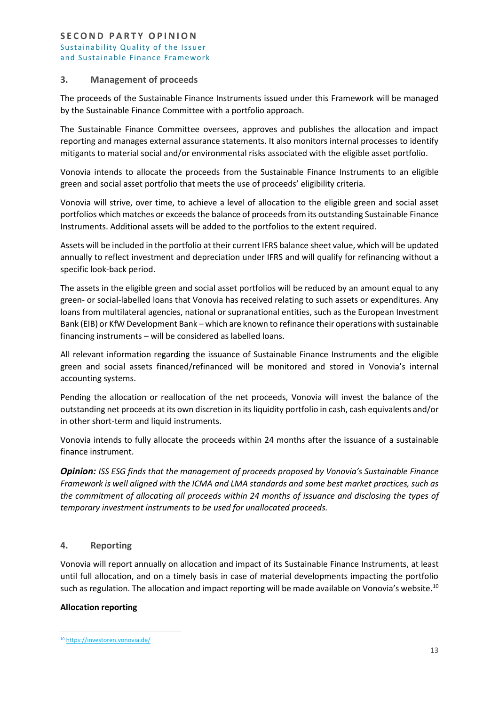#### Sustainability Quality of the Issuer and Sustainable Finance Framework

#### **3. Management of proceeds**

The proceeds of the Sustainable Finance Instruments issued under this Framework will be managed by the Sustainable Finance Committee with a portfolio approach.

The Sustainable Finance Committee oversees, approves and publishes the allocation and impact reporting and manages external assurance statements. It also monitors internal processes to identify mitigants to material social and/or environmental risks associated with the eligible asset portfolio.

Vonovia intends to allocate the proceeds from the Sustainable Finance Instruments to an eligible green and social asset portfolio that meets the use of proceeds' eligibility criteria.

Vonovia will strive, over time, to achieve a level of allocation to the eligible green and social asset portfolios which matches or exceeds the balance of proceeds from its outstanding Sustainable Finance Instruments. Additional assets will be added to the portfolios to the extent required.

Assets will be included in the portfolio at their current IFRS balance sheet value, which will be updated annually to reflect investment and depreciation under IFRS and will qualify for refinancing without a specific look-back period.

The assets in the eligible green and social asset portfolios will be reduced by an amount equal to any green- or social-labelled loans that Vonovia has received relating to such assets or expenditures. Any loans from multilateral agencies, national or supranational entities, such as the European Investment Bank (EIB) or KfW Development Bank – which are known to refinance their operations with sustainable financing instruments – will be considered as labelled loans.

All relevant information regarding the issuance of Sustainable Finance Instruments and the eligible green and social assets financed/refinanced will be monitored and stored in Vonovia's internal accounting systems.

Pending the allocation or reallocation of the net proceeds, Vonovia will invest the balance of the outstanding net proceeds at its own discretion in its liquidity portfolio in cash, cash equivalents and/or in other short-term and liquid instruments.

Vonovia intends to fully allocate the proceeds within 24 months after the issuance of a sustainable finance instrument.

*Opinion: ISS ESG finds that the management of proceeds proposed by Vonovia's Sustainable Finance Framework is well aligned with the ICMA and LMA standards and some best market practices, such as the commitment of allocating all proceeds within 24 months of issuance and disclosing the types of temporary investment instruments to be used for unallocated proceeds.*

#### **4. Reporting**

Vonovia will report annually on allocation and impact of its Sustainable Finance Instruments, at least until full allocation, and on a timely basis in case of material developments impacting the portfolio such as regulation. The allocation and impact reporting will be made available on Vonovia's website.<sup>10</sup>

#### **Allocation reporting**

<sup>10</sup> <https://investoren.vonovia.de/>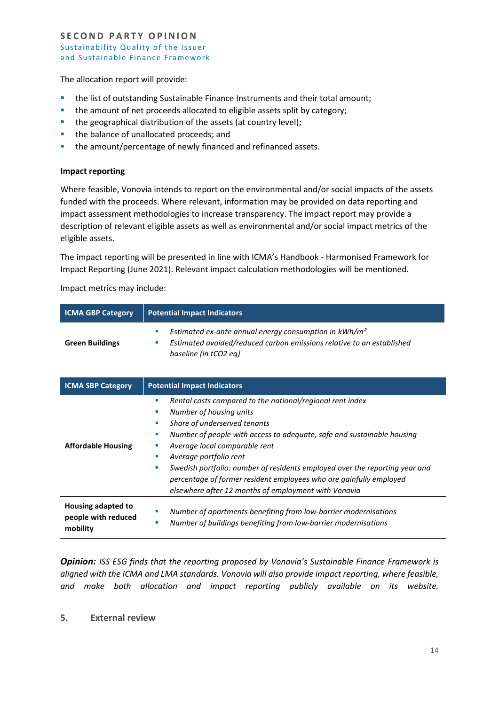#### Sustainability Quality of the Issuer and Sustainable Finance Framework

The allocation report will provide:

- **the list of outstanding Sustainable Finance Instruments and their total amount;**
- **·** the amount of net proceeds allocated to eligible assets split by category;
- the geographical distribution of the assets (at country level);
- the balance of unallocated proceeds; and
- the amount/percentage of newly financed and refinanced assets.

#### **Impact reporting**

Where feasible, Vonovia intends to report on the environmental and/or social impacts of the assets funded with the proceeds. Where relevant, information may be provided on data reporting and impact assessment methodologies to increase transparency. The impact report may provide a description of relevant eligible assets as well as environmental and/or social impact metrics of the eligible assets.

The impact reporting will be presented in line with ICMA's Handbook - Harmonised Framework for Impact Reporting (June 2021). Relevant impact calculation methodologies will be mentioned.

Impact metrics may include:

| <b>ICMA GBP Category</b> | <b>Potential Impact Indicators</b>                                                                                                                                                |
|--------------------------|-----------------------------------------------------------------------------------------------------------------------------------------------------------------------------------|
| <b>Green Buildings</b>   | Estimated ex-ante annual energy consumption in $kWh/m^2$<br>$\blacksquare$<br>Estimated avoided/reduced carbon emissions relative to an established<br>ш<br>baseline (in tCO2 eq) |
| <b>ICMA SBP Category</b> | <b>Potential Impact Indicators</b>                                                                                                                                                |
|                          | Rental costs compared to the national/regional rent index<br>ш<br>Number of housing units                                                                                         |

|                                                       | Share of underserved tenants                                                                                                                                                                              |
|-------------------------------------------------------|-----------------------------------------------------------------------------------------------------------------------------------------------------------------------------------------------------------|
|                                                       | Number of people with access to adequate, safe and sustainable housing                                                                                                                                    |
| <b>Affordable Housing</b>                             | Average local comparable rent<br>Average portfolio rent                                                                                                                                                   |
|                                                       | Swedish portfolio: number of residents employed over the reporting year and<br>percentage of former resident employees who are gainfully employed<br>elsewhere after 12 months of employment with Vonovia |
| Housing adapted to<br>people with reduced<br>mobility | Number of apartments benefiting from low-barrier modernisations<br>Number of buildings benefiting from low-barrier modernisations                                                                         |

*Opinion: ISS ESG finds that the reporting proposed by Vonovia's Sustainable Finance Framework is aligned with the ICMA and LMA standards. Vonovia will also provide impact reporting, where feasible, and make both allocation and impact reporting publicly available on its website.*

**5. External review**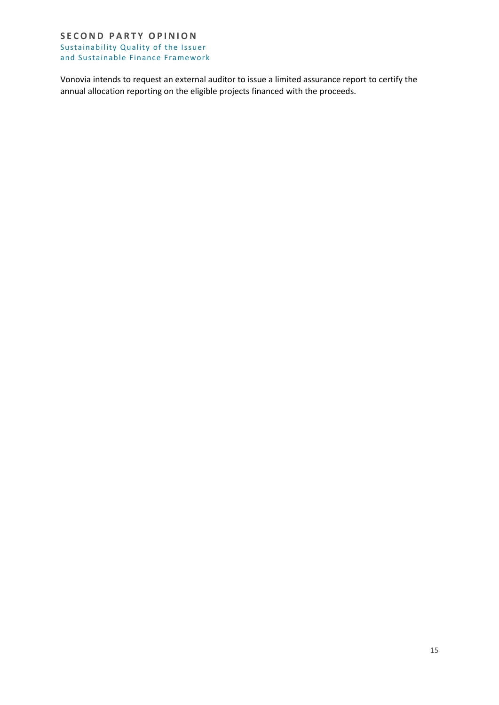Sustainability Quality of the Issuer and Sustainable Finance Framework

Vonovia intends to request an external auditor to issue a limited assurance report to certify the annual allocation reporting on the eligible projects financed with the proceeds.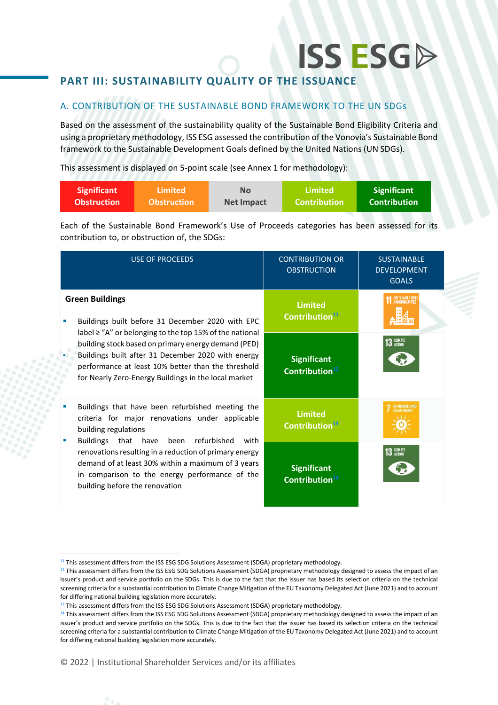# **ISS ESGD**

# <span id="page-15-0"></span>**PART III: SUSTAINABILITY QUALITY OF THE ISSUANCE**

# <span id="page-15-1"></span>A. CONTRIBUTION OF THE SUSTAINABLE BOND FRAMEWORK TO THE UN SDGs

Based on the assessment of the sustainability quality of the Sustainable Bond Eligibility Criteria and using a proprietary methodology, ISS ESG assessed the contribution of the Vonovia's Sustainable Bond framework to the Sustainable Development Goals defined by the United Nations (UN SDGs).

This assessment is displayed on 5-point scale (see Annex 1 for methodology):

| <b>Significant</b> | Limited '          | No                | Limited      | Significant         |
|--------------------|--------------------|-------------------|--------------|---------------------|
| <b>Obstruction</b> | <b>Obstruction</b> | <b>Net Impact</b> | Contribution | <b>Contribution</b> |

Each of the Sustainable Bond Framework's Use of Proceeds categories has been assessed for its contribution to, or obstruction of, the SDGs:

| <b>USE OF PROCEEDS</b>                                                                                                                                                                                                  | <b>CONTRIBUTION OR</b><br><b>OBSTRUCTION</b>     | <b>SUSTAINABLE</b><br><b>DEVELOPMENT</b><br><b>GOALS</b> |  |
|-------------------------------------------------------------------------------------------------------------------------------------------------------------------------------------------------------------------------|--------------------------------------------------|----------------------------------------------------------|--|
| <b>Green Buildings</b><br>Buildings built before 31 December 2020 with EPC<br>label $\ge$ "A" or belonging to the top 15% of the national                                                                               | <b>Limited</b><br>Contribution <sup>11</sup>     | SUSTAINABLE CITIE<br>AND COMMUNITIES                     |  |
| building stock based on primary energy demand (PED)<br>Buildings built after 31 December 2020 with energy<br>performance at least 10% better than the threshold<br>for Nearly Zero-Energy Buildings in the local market | <b>Significant</b><br>Contribution <sup>12</sup> | 13 GLIMATE                                               |  |
| Buildings that have been refurbished meeting the<br>criteria for major renovations under applicable<br>building regulations<br><b>Buildings</b><br>that<br>have<br>been refurbished<br>with                             | <b>Limited</b><br>Contribution <sup>13</sup>     |                                                          |  |
| renovations resulting in a reduction of primary energy<br>demand of at least 30% within a maximum of 3 years<br>in comparison to the energy performance of the<br>building before the renovation                        | <b>Significant</b><br>Contribution <sup>14</sup> | 13 GLIMATE                                               |  |

<sup>&</sup>lt;sup>11</sup> This assessment differs from the ISS ESG SDG Solutions Assessment (SDGA) proprietary methodology.

<sup>&</sup>lt;sup>12</sup> This assessment differs from the ISS ESG SDG Solutions Assessment (SDGA) proprietary methodology designed to assess the impact of an issuer's product and service portfolio on the SDGs. This is due to the fact that the issuer has based its selection criteria on the technical screening criteria for a substantial contribution to Climate Change Mitigation of the EU Taxonomy Delegated Act (June 2021) and to account for differing national building legislation more accurately.

<sup>&</sup>lt;sup>13</sup> This assessment differs from the ISS ESG SDG Solutions Assessment (SDGA) proprietary methodology.

<sup>14</sup> This assessment differs from the ISS ESG SDG Solutions Assessment (SDGA) proprietary methodology designed to assess the impact of an issuer's product and service portfolio on the SDGs. This is due to the fact that the issuer has based its selection criteria on the technical screening criteria for a substantial contribution to Climate Change Mitigation of the EU Taxonomy Delegated Act (June 2021) and to account for differing national building legislation more accurately.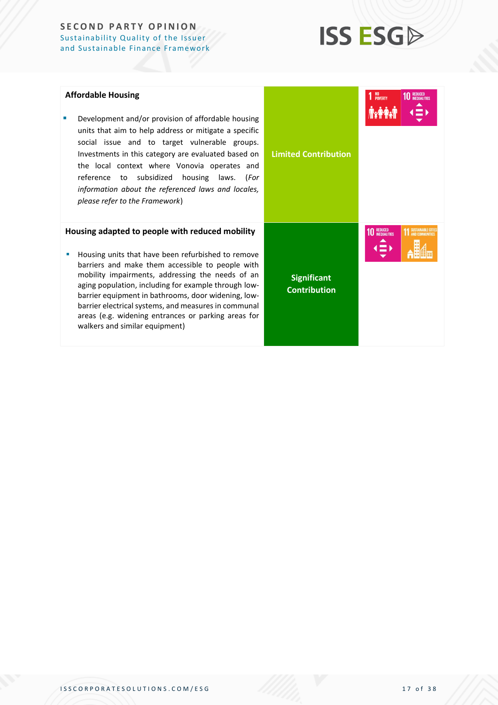# **ISS ESG**

| <b>Affordable Housing</b><br>Development and/or provision of affordable housing<br>units that aim to help address or mitigate a specific<br>social issue and to target vulnerable groups.<br>Investments in this category are evaluated based on<br>the local context where Vonovia operates and<br>to subsidized<br>reference<br>housing<br>laws.<br>(For<br>information about the referenced laws and locales,<br>please refer to the Framework)                            | <b>Limited Contribution</b>               | NO<br>Poverty                           |
|-------------------------------------------------------------------------------------------------------------------------------------------------------------------------------------------------------------------------------------------------------------------------------------------------------------------------------------------------------------------------------------------------------------------------------------------------------------------------------|-------------------------------------------|-----------------------------------------|
| Housing adapted to people with reduced mobility<br>Housing units that have been refurbished to remove<br>barriers and make them accessible to people with<br>mobility impairments, addressing the needs of an<br>aging population, including for example through low-<br>barrier equipment in bathrooms, door widening, low-<br>barrier electrical systems, and measures in communal<br>areas (e.g. widening entrances or parking areas for<br>walkers and similar equipment) | <b>Significant</b><br><b>Contribution</b> | <b>REDUCED</b><br><b>INFOILAL ITIES</b> |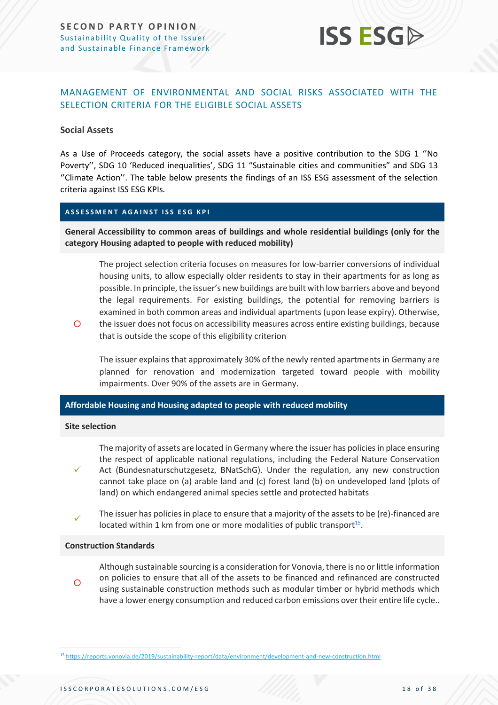

#### <span id="page-17-0"></span>MANAGEMENT OF ENVIRONMENTAL AND SOCIAL RISKS ASSOCIATED WITH THE SELECTION CRITERIA FOR THE ELIGIBLE SOCIAL ASSETS

#### **Social Assets**

As a Use of Proceeds category, the social assets have a positive contribution to the SDG 1 ''No Poverty'', SDG 10 'Reduced inequalities', SDG 11 "Sustainable cities and communities" and SDG 13 ''Climate Action''. The table below presents the findings of an ISS ESG assessment of the selection criteria against ISS ESG KPIs.

#### **A S S E S S M E N T A G A I N S T I S S E S G K P I**

**General Accessibility to common areas of buildings and whole residential buildings (only for the category Housing adapted to people with reduced mobility)**

The project selection criteria focuses on measures for low-barrier conversions of individual housing units, to allow especially older residents to stay in their apartments for as long as possible. In principle, the issuer's new buildings are built with low barriers above and beyond the legal requirements. For existing buildings, the potential for removing barriers is examined in both common areas and individual apartments (upon lease expiry). Otherwise,

 $\circ$ the issuer does not focus on accessibility measures across entire existing buildings, because that is outside the scope of this eligibility criterion

The issuer explains that approximately 30% of the newly rented apartments in Germany are planned for renovation and modernization targeted toward people with mobility impairments. Over 90% of the assets are in Germany.

#### **Affordable Housing and Housing adapted to people with reduced mobility**

#### **Site selection**

The majority of assets are located in Germany where the issuer has policies in place ensuring the respect of applicable national regulations, including the Federal Nature Conservation

- ✓ Act (Bundesnaturschutzgesetz, BNatSchG). Under the regulation, any new construction cannot take place on (a) arable land and (c) forest land (b) on undeveloped land (plots of land) on which endangered animal species settle and protected habitats
- ✓ The issuer has policies in place to ensure that a majority of the assets to be (re)-financed are located within 1 km from one or more modalities of public transport $^{15}$ .

#### **Construction Standards**

 $\Omega$ Although sustainable sourcing is a consideration for Vonovia, there is no or little information on policies to ensure that all of the assets to be financed and refinanced are constructed using sustainable construction methods such as modular timber or hybrid methods which have a lower energy consumption and reduced carbon emissions over their entire life cycle..

<sup>15</sup> <https://reports.vonovia.de/2019/sustainability-report/data/environment/development-and-new-construction.html>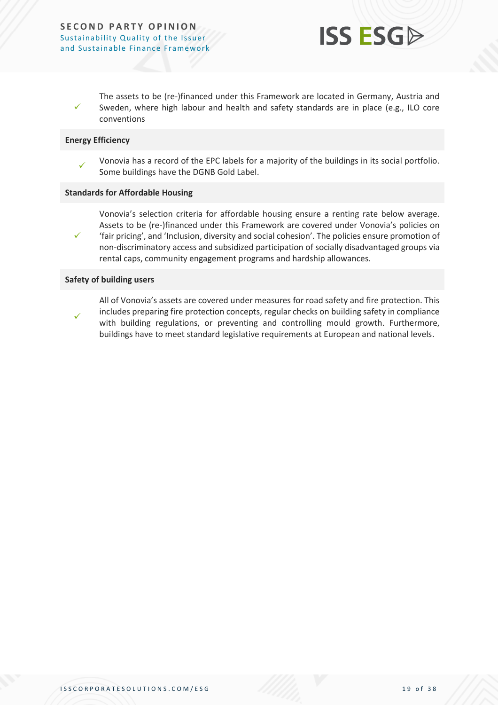

✓ The assets to be (re-)financed under this Framework are located in Germany, Austria and Sweden, where high labour and health and safety standards are in place (e.g., ILO core conventions

#### **Energy Efficiency**

✓ Vonovia has a record of the EPC labels for a majority of the buildings in its social portfolio. Some buildings have the DGNB Gold Label.

#### **Standards for Affordable Housing**

✓ Vonovia's selection criteria for affordable housing ensure a renting rate below average. Assets to be (re-)financed under this Framework are covered under Vonovia's policies on 'fair pricing', and 'Inclusion, diversity and social cohesion'. The policies ensure promotion of non-discriminatory access and subsidized participation of socially disadvantaged groups via rental caps, community engagement programs and hardship allowances.

#### **Safety of building users**

✓

All of Vonovia's assets are covered under measures for road safety and fire protection. This includes preparing fire protection concepts, regular checks on building safety in compliance with building regulations, or preventing and controlling mould growth. Furthermore, buildings have to meet standard legislative requirements at European and national levels.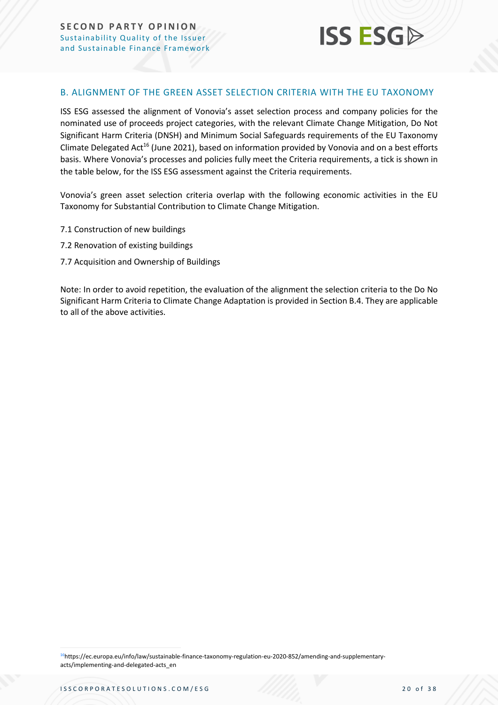

#### <span id="page-19-0"></span>B. ALIGNMENT OF THE GREEN ASSET SELECTION CRITERIA WITH THE EU TAXONOMY

ISS ESG assessed the alignment of Vonovia's asset selection process and company policies for the nominated use of proceeds project categories, with the relevant Climate Change Mitigation, Do Not Significant Harm Criteria (DNSH) and Minimum Social Safeguards requirements of the EU Taxonomy Climate Delegated Act<sup>16</sup> (June 2021), based on information provided by Vonovia and on a best efforts basis. Where Vonovia's processes and policies fully meet the Criteria requirements, a tick is shown in the table below, for the ISS ESG assessment against the Criteria requirements.

Vonovia's green asset selection criteria overlap with the following economic activities in the EU Taxonomy for Substantial Contribution to Climate Change Mitigation.

- 7.1 Construction of new buildings
- 7.2 Renovation of existing buildings
- 7.7 Acquisition and Ownership of Buildings

Note: In order to avoid repetition, the evaluation of the alignment the selection criteria to the Do No Significant Harm Criteria to Climate Change Adaptation is provided in Section B.4. They are applicable to all of the above activities.

16https://ec.europa.eu/info/law/sustainable-finance-taxonomy-regulation-eu-2020-852/amending-and-supplementaryacts/implementing-and-delegated-acts\_en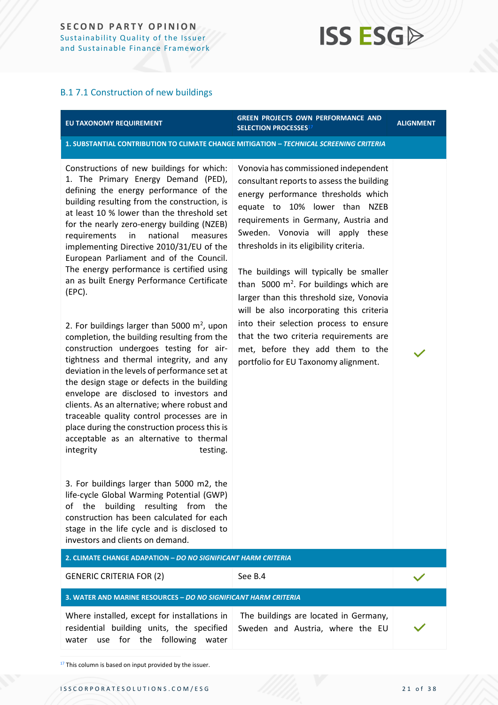# **ISS ESG**

#### B.1 7.1 Construction of new buildings

#### **EU TAXONOMY REQUIREMENT**

**GREEN PROJECTS OWN PERFORMANCE AND SELECTION PROCESSES<sup>17</sup> ALIGNMENT** 

**1. SUBSTANTIAL CONTRIBUTION TO CLIMATE CHANGE MITIGATION –** *TECHNICAL SCREENING CRITERIA*

Constructions of new buildings for which: 1. The Primary Energy Demand (PED), defining the energy performance of the building resulting from the construction, is at least 10 % lower than the threshold set for the nearly zero-energy building (NZEB) requirements in national measures implementing Directive 2010/31/EU of the European Parliament and of the Council. The energy performance is certified using an as built Energy Performance Certificate (EPC).

2. For buildings larger than 5000  $m^2$ , upon completion, the building resulting from the construction undergoes testing for airtightness and thermal integrity, and any deviation in the levels of performance set at the design stage or defects in the building envelope are disclosed to investors and clients. As an alternative; where robust and traceable quality control processes are in place during the construction process this is acceptable as an alternative to thermal integrity testing.

3. For buildings larger than 5000 m2, the life-cycle Global Warming Potential (GWP) of the building resulting from the construction has been calculated for each stage in the life cycle and is disclosed to investors and clients on demand.

› Vonovia has commissioned independent consultant reports to assess the building energy performance thresholds which equate to 10% lower than NZEB requirements in Germany, Austria and Sweden. Vonovia will apply these thresholds in its eligibility criteria.

The buildings will typically be smaller than  $5000 \text{ m}^2$ . For buildings which are larger than this threshold size, Vonovia will be also incorporating this criteria into their selection process to ensure that the two criteria requirements are met, before they add them to the portfolio for EU Taxonomy alignment.

|  |  | 2. CLIMATE CHANGE ADAPATION <i>– DO NO SIGNIFICANT HARM CRITERIA</i> . |  |
|--|--|------------------------------------------------------------------------|--|
|  |  |                                                                        |  |

#### GENERIC CRITERIA FOR (2) See B.4

#### **3. WATER AND MARINE RESOURCES –** *DO NO SIGNIFICANT HARM CRITERIA*

Where installed, except for installations in residential building units, the specified water use for the following water

The buildings are located in Germany, Sweden and Austria, where the EU



<sup>17</sup> This column is based on input provided by the issuer.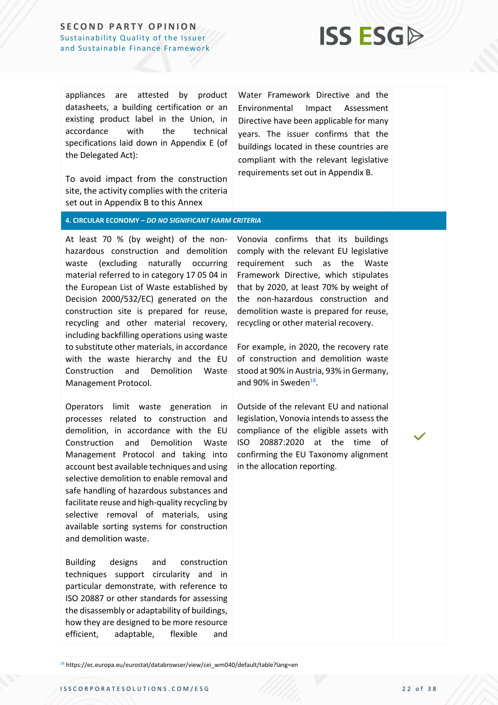

appliances are attested by product datasheets, a building certification or an existing product label in the Union, in accordance with the technical specifications laid down in Appendix E (of the Delegated Act):

Water Framework Directive and the Environmental Impact Assessment Directive have been applicable for many years. The issuer confirms that the buildings located in these countries are compliant with the relevant legislative requirements set out in Appendix B.

To avoid impact from the construction site, the activity complies with the criteria set out in Appendix B to this Annex

#### **4. CIRCULAR ECONOMY –** *DO NO SIGNIFICANT HARM CRITERIA*

At least 70 % (by weight) of the nonhazardous construction and demolition waste (excluding naturally occurring material referred to in category 17 05 04 in the European List of Waste established by Decision 2000/532/EC) generated on the construction site is prepared for reuse, recycling and other material recovery, including backfilling operations using waste to substitute other materials, in accordance with the waste hierarchy and the EU Construction and Demolition Waste Management Protocol.

Operators limit waste generation in processes related to construction and demolition, in accordance with the EU Construction and Demolition Waste Management Protocol and taking into account best available techniques and using selective demolition to enable removal and safe handling of hazardous substances and facilitate reuse and high-quality recycling by selective removal of materials, using available sorting systems for construction and demolition waste.

Building designs and construction techniques support circularity and in particular demonstrate, with reference to ISO 20887 or other standards for assessing the disassembly or adaptability of buildings, how they are designed to be more resource efficient, adaptable, flexible and Vonovia confirms that its buildings comply with the relevant EU legislative requirement such as the Waste Framework Directive, which stipulates that by 2020, at least 70% by weight of the non-hazardous construction and demolition waste is prepared for reuse, recycling or other material recovery.

For example, in 2020, the recovery rate of construction and demolition waste stood at 90% in Austria, 93% in Germany, and 90% in Sweden $^{18}$ .

Outside of the relevant EU and national legislation, Vonovia intends to assess the compliance of the eligible assets with ISO 20887:2020 at the time of confirming the EU Taxonomy alignment in the allocation reporting.

<sup>18</sup> https://ec.europa.eu/eurostat/databrowser/view/cei\_wm040/default/table?lang=en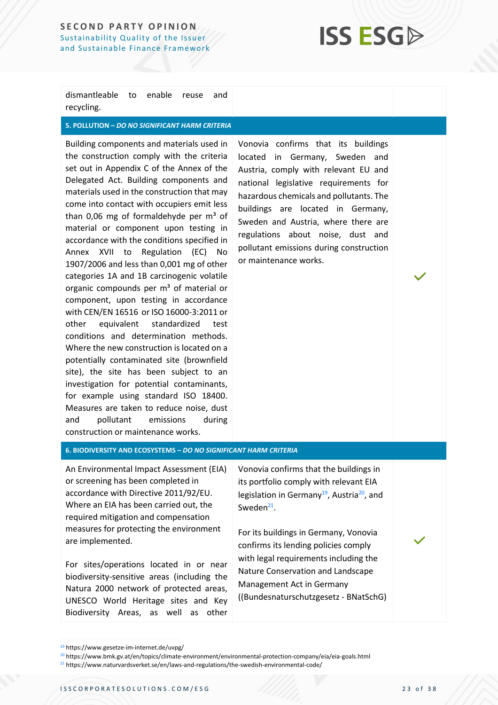

dismantleable to enable reuse and recycling.

#### **5. POLLUTION –** *DO NO SIGNIFICANT HARM CRITERIA*

Building components and materials used in the construction comply with the criteria set out in Appendix C of the Annex of the Delegated Act. Building components and materials used in the construction that may come into contact with occupiers emit less than 0,06 mg of formaldehyde per  $m<sup>3</sup>$  of material or component upon testing in accordance with the conditions specified in Annex XVII to Regulation (EC) No 1907/2006 and less than 0,001 mg of other categories 1A and 1B carcinogenic volatile organic compounds per  $m<sup>3</sup>$  of material or component, upon testing in accordance with CEN/EN 16516 or ISO 16000-3:2011 or other equivalent standardized conditions and determination methods. Where the new construction is located on a potentially contaminated site (brownfield site), the site has been subject to an investigation for potential contaminants, for example using standard ISO 18400. Measures are taken to reduce noise, dust and pollutant emissions during construction or maintenance works. test

› Vonovia confirms that its buildings located in Germany, Sweden and Austria, comply with relevant EU and national legislative requirements for hazardous chemicals and pollutants. The buildings are located in Germany, Sweden and Austria, where there are regulations about noise, dust and pollutant emissions during construction or maintenance works.

#### **6. BIODIVERSITY AND ECOSYSTEMS –** *DO NO SIGNIFICANT HARM CRITERIA*

An Environmental Impact Assessment (EIA) or screening has been completed in accordance with Directive 2011/92/EU. Where an EIA has been carried out, the required mitigation and compensation measures for protecting the environment are implemented.

For sites/operations located in or near biodiversity-sensitive areas (including the Natura 2000 network of protected areas, UNESCO World Heritage sites and Key Biodiversity Areas, as well as other

Vonovia confirms that the buildings in its portfolio comply with relevant EIA legislation in Germany<sup>19</sup>, Austria<sup>20</sup>, and Sweden<sup>21</sup>.

For its buildings in Germany, Vonovia confirms its lending policies comply with legal requirements including the Nature Conservation and Landscape Management Act in Germany ((Bundesnaturschutzgesetz - BNatSchG)

<sup>19</sup> https://www.gesetze-im-internet.de/uvpg/

<sup>20</sup> https://www.bmk.gv.at/en/topics/climate-environment/environmental-protection-company/eia/eia-goals.html

<sup>&</sup>lt;sup>21</sup> https://www.naturvardsverket.se/en/laws-and-regulations/the-swedish-environmental-code/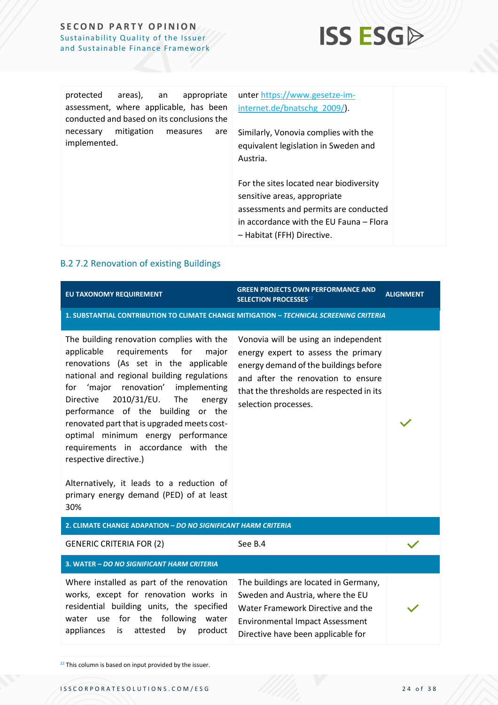

| areas), an appropriate<br>protected<br>assessment, where applicable, has been<br>conducted and based on its conclusions the | unter https://www.gesetze-im-<br>internet.de/bnatschg 2009/).                                                                                                                             |  |
|-----------------------------------------------------------------------------------------------------------------------------|-------------------------------------------------------------------------------------------------------------------------------------------------------------------------------------------|--|
| mitigation<br>necessary<br>measures<br>are<br>implemented.                                                                  | Similarly, Vonovia complies with the<br>equivalent legislation in Sweden and<br>Austria.                                                                                                  |  |
|                                                                                                                             | For the sites located near biodiversity<br>sensitive areas, appropriate<br>assessments and permits are conducted<br>in accordance with the EU Fauna – Flora<br>– Habitat (FFH) Directive. |  |

### B.2 7.2 Renovation of existing Buildings

| EU TAXONOMY REQUIREMENT                                                                                                                                                                                                                                                                                                                                                                                                                                                                                                                                                      | <b>GREEN PROJECTS OWN PERFORMANCE AND</b><br><b>SELECTION PROCESSES22</b>                                                                                                                                                      | <b>ALIGNMENT</b> |
|------------------------------------------------------------------------------------------------------------------------------------------------------------------------------------------------------------------------------------------------------------------------------------------------------------------------------------------------------------------------------------------------------------------------------------------------------------------------------------------------------------------------------------------------------------------------------|--------------------------------------------------------------------------------------------------------------------------------------------------------------------------------------------------------------------------------|------------------|
| 1. SUBSTANTIAL CONTRIBUTION TO CLIMATE CHANGE MITIGATION - TECHNICAL SCREENING CRITERIA                                                                                                                                                                                                                                                                                                                                                                                                                                                                                      |                                                                                                                                                                                                                                |                  |
| The building renovation complies with the<br>requirements<br>applicable<br>for <b>f</b><br>major<br>renovations (As set in the applicable<br>national and regional building regulations<br>'major renovation'<br>implementing<br>for<br>2010/31/EU.<br>Directive<br>The<br>energy<br>performance of the building or the<br>renovated part that is upgraded meets cost-<br>optimal minimum energy performance<br>requirements in accordance with the<br>respective directive.)<br>Alternatively, it leads to a reduction of<br>primary energy demand (PED) of at least<br>30% | Vonovia will be using an independent<br>energy expert to assess the primary<br>energy demand of the buildings before<br>and after the renovation to ensure<br>that the thresholds are respected in its<br>selection processes. |                  |
| 2. CLIMATE CHANGE ADAPATION - DO NO SIGNIFICANT HARM CRITERIA                                                                                                                                                                                                                                                                                                                                                                                                                                                                                                                |                                                                                                                                                                                                                                |                  |
| <b>GENERIC CRITERIA FOR (2)</b>                                                                                                                                                                                                                                                                                                                                                                                                                                                                                                                                              | See B.4                                                                                                                                                                                                                        |                  |
| 3. WATER - DO NO SIGNIFICANT HARM CRITERIA                                                                                                                                                                                                                                                                                                                                                                                                                                                                                                                                   |                                                                                                                                                                                                                                |                  |
| Where installed as part of the renovation<br>works, except for renovation works in<br>residential building units, the specified<br>use for the following water<br>water<br>attested<br>by<br>appliances<br>is<br>product                                                                                                                                                                                                                                                                                                                                                     | The buildings are located in Germany,<br>Sweden and Austria, where the EU<br>Water Framework Directive and the<br><b>Environmental Impact Assessment</b><br>Directive have been applicable for                                 |                  |

 $22$  This column is based on input provided by the issuer.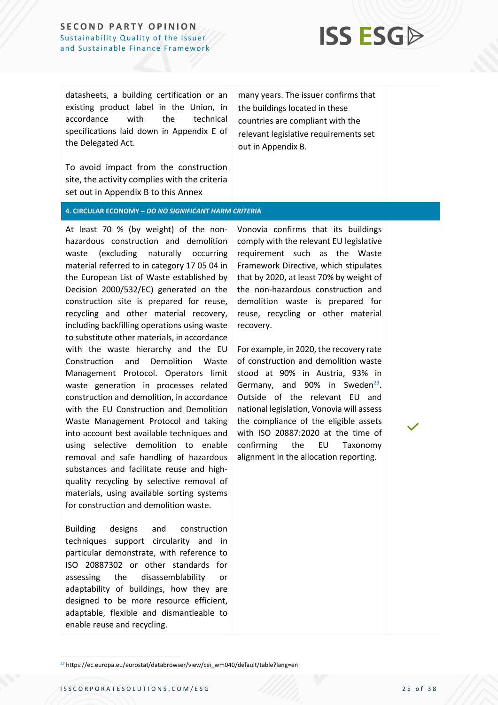

datasheets, a building certification or an existing product label in the Union, in accordance with the technical specifications laid down in Appendix E of the Delegated Act.

many years. The issuer confirms that the buildings located in these countries are compliant with the relevant legislative requirements set out in Appendix B.

To avoid impact from the construction site, the activity complies with the criteria set out in Appendix B to this Annex

#### **4. CIRCULAR ECONOMY –** *DO NO SIGNIFICANT HARM CRITERIA*

At least 70 % (by weight) of the nonhazardous construction and demolition waste (excluding naturally occurring material referred to in category 17 05 04 in the European List of Waste established by Decision 2000/532/EC) generated on the construction site is prepared for reuse, recycling and other material recovery, including backfilling operations using waste to substitute other materials, in accordance with the waste hierarchy and the EU Construction and Demolition Waste Management Protocol. Operators limit waste generation in processes related construction and demolition, in accordance with the EU Construction and Demolition Waste Management Protocol and taking into account best available techniques and using selective demolition to enable removal and safe handling of hazardous substances and facilitate reuse and highquality recycling by selective removal of materials, using available sorting systems for construction and demolition waste.

Building designs and construction techniques support circularity and in particular demonstrate, with reference to ISO 20887302 or other standards for assessing the disassemblability or adaptability of buildings, how they are designed to be more resource efficient, adaptable, flexible and dismantleable to enable reuse and recycling.

Vonovia confirms that its buildings comply with the relevant EU legislative requirement such as the Waste Framework Directive, which stipulates that by 2020, at least 70% by weight of the non-hazardous construction and demolition waste is prepared for reuse, recycling or other material recovery.

For example, in 2020, the recovery rate of construction and demolition waste stood at 90% in Austria, 93% in Germany, and 90% in Sweden<sup>23</sup>. Outside of the relevant EU and national legislation, Vonovia will assess the compliance of the eligible assets with ISO 20887:2020 at the time of confirming the EU Taxonomy alignment in the allocation reporting.

<sup>&</sup>lt;sup>23</sup> https://ec.europa.eu/eurostat/databrowser/view/cei\_wm040/default/table?lang=en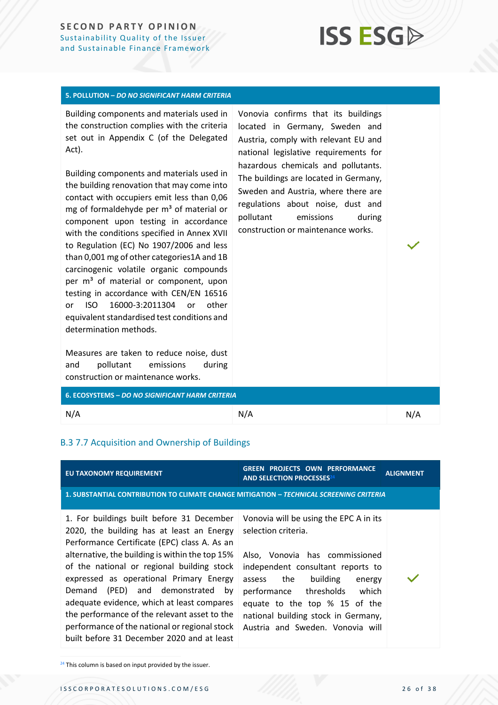# **ISS ESG**

#### **5. POLLUTION –** *DO NO SIGNIFICANT HARM CRITERIA*

Building components and materials used in the construction complies with the criteria set out in Appendix C (of the Delegated Act).

Building components and materials used in the building renovation that may come into contact with occupiers emit less than 0,06 mg of formaldehyde per  $m<sup>3</sup>$  of material or component upon testing in accordance with the conditions specified in Annex XVII to Regulation (EC) No 1907/2006 and less than 0,001 mg of other categories1A and 1B carcinogenic volatile organic compounds per  $m<sup>3</sup>$  of material or component, upon testing in accordance with CEN/EN 16516 or ISO 16000-3:2011304 or other equivalent standardised test conditions and determination methods.

Measures are taken to reduce noise, dust and pollutant emissions during construction or maintenance works.

Vonovia confirms that its buildings located in Germany, Sweden and Austria, comply with relevant EU and national legislative requirements for hazardous chemicals and pollutants. The buildings are located in Germany, Sweden and Austria, where there are regulations about noise, dust and pollutant emissions during construction or maintenance works.

| <b>6. ECOSYSTEMS - DO NO SIGNIFICANT HARM CRITERIA</b> |     |     |  |
|--------------------------------------------------------|-----|-----|--|
| N/A                                                    | N/A | N/A |  |

#### B.3 7.7 Acquisition and Ownership of Buildings

| <b>EU TAXONOMY REQUIREMENT</b>                                                                                                                                                                                                                                                                                                                                                                                                                                                                                         | <b>PROJECTS OWN PERFORMANCE</b><br><b>GREEN</b><br><b>AND SELECTION PROCESSES<sup>24</sup></b>                                                                                                                                                                                                                             | <b>ALIGNMENT</b> |
|------------------------------------------------------------------------------------------------------------------------------------------------------------------------------------------------------------------------------------------------------------------------------------------------------------------------------------------------------------------------------------------------------------------------------------------------------------------------------------------------------------------------|----------------------------------------------------------------------------------------------------------------------------------------------------------------------------------------------------------------------------------------------------------------------------------------------------------------------------|------------------|
| 1. SUBSTANTIAL CONTRIBUTION TO CLIMATE CHANGE MITIGATION - TECHNICAL SCREENING CRITERIA                                                                                                                                                                                                                                                                                                                                                                                                                                |                                                                                                                                                                                                                                                                                                                            |                  |
| 1. For buildings built before 31 December<br>2020, the building has at least an Energy<br>Performance Certificate (EPC) class A. As an<br>alternative, the building is within the top 15%<br>of the national or regional building stock<br>expressed as operational Primary Energy<br>Demand (PED) and demonstrated<br>by<br>adequate evidence, which at least compares<br>the performance of the relevant asset to the<br>performance of the national or regional stock<br>built before 31 December 2020 and at least | Vonovia will be using the EPC A in its<br>selection criteria.<br>Also. Vonovia has commissioned<br>independent consultant reports to<br>the<br>building<br>assess<br>energy<br>performance thresholds<br>which<br>equate to the top % 15 of the<br>national building stock in Germany,<br>Austria and Sweden. Vonovia will |                  |

<sup>24</sup> This column is based on input provided by the issuer.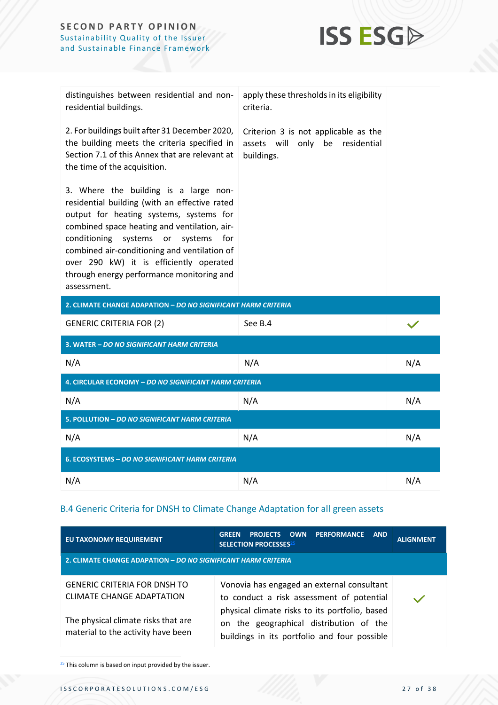

| distinguishes between residential and non-<br>residential buildings.                                                                                                                                                                                                                                                                                                                        | apply these thresholds in its eligibility<br>criteria.                                   |     |
|---------------------------------------------------------------------------------------------------------------------------------------------------------------------------------------------------------------------------------------------------------------------------------------------------------------------------------------------------------------------------------------------|------------------------------------------------------------------------------------------|-----|
| 2. For buildings built after 31 December 2020,<br>the building meets the criteria specified in<br>Section 7.1 of this Annex that are relevant at<br>the time of the acquisition.                                                                                                                                                                                                            | Criterion 3 is not applicable as the<br>assets will<br>only be residential<br>buildings. |     |
| 3. Where the building is a large non-<br>residential building (with an effective rated<br>output for heating systems, systems for<br>combined space heating and ventilation, air-<br>conditioning<br>systems<br>for<br>systems<br>or<br>combined air-conditioning and ventilation of<br>over 290 kW) it is efficiently operated<br>through energy performance monitoring and<br>assessment. |                                                                                          |     |
| 2. CLIMATE CHANGE ADAPATION - DO NO SIGNIFICANT HARM CRITERIA                                                                                                                                                                                                                                                                                                                               |                                                                                          |     |
| <b>GENERIC CRITERIA FOR (2)</b>                                                                                                                                                                                                                                                                                                                                                             | See B.4                                                                                  |     |
| <b>3. WATER - DO NO SIGNIFICANT HARM CRITERIA</b>                                                                                                                                                                                                                                                                                                                                           |                                                                                          |     |
| N/A                                                                                                                                                                                                                                                                                                                                                                                         | N/A                                                                                      | N/A |
| 4. CIRCULAR ECONOMY - DO NO SIGNIFICANT HARM CRITERIA                                                                                                                                                                                                                                                                                                                                       |                                                                                          |     |
| N/A                                                                                                                                                                                                                                                                                                                                                                                         | N/A                                                                                      | N/A |
| 5. POLLUTION - DO NO SIGNIFICANT HARM CRITERIA                                                                                                                                                                                                                                                                                                                                              |                                                                                          |     |
| N/A                                                                                                                                                                                                                                                                                                                                                                                         | N/A                                                                                      | N/A |
|                                                                                                                                                                                                                                                                                                                                                                                             |                                                                                          |     |
| 6. ECOSYSTEMS - DO NO SIGNIFICANT HARM CRITERIA                                                                                                                                                                                                                                                                                                                                             |                                                                                          |     |

### B.4 Generic Criteria for DNSH to Climate Change Adaptation for all green assets

| <b>EU TAXONOMY REQUIREMENT</b>                                                                                                         | <b>PERFORMANCE</b><br><b>PROJECTS</b><br><b>OWN</b><br><b>AND</b><br><b>GREEN</b><br><b>SELECTION PROCESSES<sup>25</sup></b>                                                                                                         | <b>ALIGNMENT</b> |
|----------------------------------------------------------------------------------------------------------------------------------------|--------------------------------------------------------------------------------------------------------------------------------------------------------------------------------------------------------------------------------------|------------------|
| 2. CLIMATE CHANGE ADAPATION - DO NO SIGNIFICANT HARM CRITERIA                                                                          |                                                                                                                                                                                                                                      |                  |
| GENERIC CRITERIA FOR DNSH TO<br>CLIMATE CHANGE ADAPTATION<br>The physical climate risks that are<br>material to the activity have been | Vonovia has engaged an external consultant<br>to conduct a risk assessment of potential<br>physical climate risks to its portfolio, based<br>on the geographical distribution of the<br>buildings in its portfolio and four possible |                  |

 $25$  This column is based on input provided by the issuer.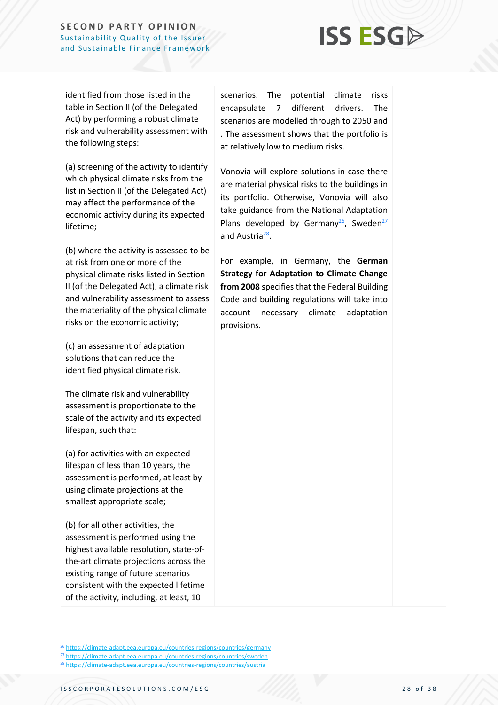

identified from those listed in the table in Section II (of the Delegated Act) by performing a robust climate risk and vulnerability assessment with the following steps:

(a) screening of the activity to identify which physical climate risks from the list in Section II (of the Delegated Act) may affect the performance of the economic activity during its expected lifetime;

(b) where the activity is assessed to be at risk from one or more of the physical climate risks listed in Section II (of the Delegated Act), a climate risk and vulnerability assessment to assess the materiality of the physical climate risks on the economic activity;

(c) an assessment of adaptation solutions that can reduce the identified physical climate risk.

The climate risk and vulnerability assessment is proportionate to the scale of the activity and its expected lifespan, such that:

(a) for activities with an expected lifespan of less than 10 years, the assessment is performed, at least by using climate projections at the smallest appropriate scale;

(b) for all other activities, the assessment is performed using the highest available resolution, state-ofthe-art climate projections across the existing range of future scenarios consistent with the expected lifetime of the activity, including, at least, 10

scenarios. The potential climate risks encapsulate 7 different drivers. The scenarios are modelled through to 2050 and . The assessment shows that the portfolio is at relatively low to medium risks.

Vonovia will explore solutions in case there are material physical risks to the buildings in its portfolio. Otherwise, Vonovia will also take guidance from the National Adaptation Plans developed by Germany<sup>26</sup>, Sweden<sup>27</sup> and Austria<sup>28</sup>.

For example, in Germany, the **German Strategy for Adaptation to Climate Change from 2008** specifies that the Federal Building Code and building regulations will take into account necessary climate adaptation provisions.

<sup>26</sup> <https://climate-adapt.eea.europa.eu/countries-regions/countries/germany>

<sup>27</sup> <https://climate-adapt.eea.europa.eu/countries-regions/countries/sweden>

<sup>28</sup> <https://climate-adapt.eea.europa.eu/countries-regions/countries/austria>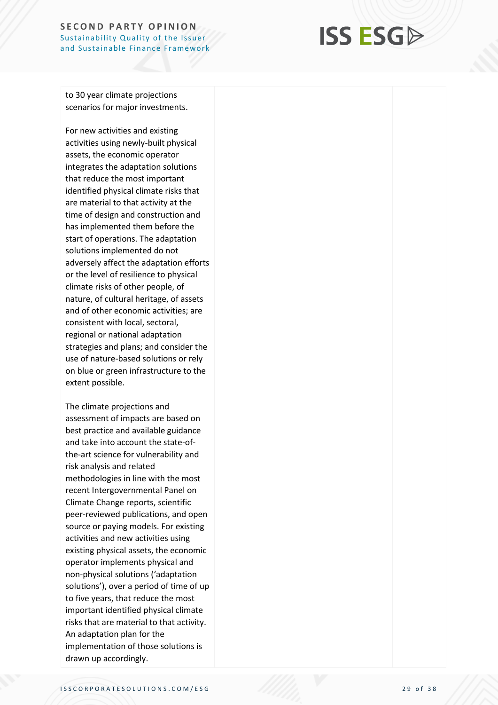# **ISS ESG**

to 30 year climate projections scenarios for major investments.

For new activities and existing activities using newly -built physical assets, the economic operator integrates the adaptation solutions that reduce the most important identified physical climate risks that are material to that activity at the time of design and construction and has implemented them before the start of operations. The adaptation solutions implemented do not adversely affect the adaptation efforts or the level of resilience to physical climate risks of other people, of nature, of cultural heritage, of assets and of other economic activities; are consistent with local, sectoral, regional or national adaptation strategies and plans; and consider the use of nature -based solutions or rely on blue or green infrastructure to the extent possible.

The climate projections and assessment of impacts are based on best practice and available guidance and take into account the state -of the -art science for vulnerability and risk analysis and related methodologies in line with the most recent Intergovernmental Panel on Climate Change reports, scientific peer -reviewed publications, and open source or paying models. For existing activities and new activities using existing physical assets, the economic operator implements physical and non -physical solutions ('adaptation solutions'), over a period of time of up to five years, that reduce the most important identified physical climate risks that are material to that activity. An adaptation plan for the implementation of those solutions is drawn up accordingly.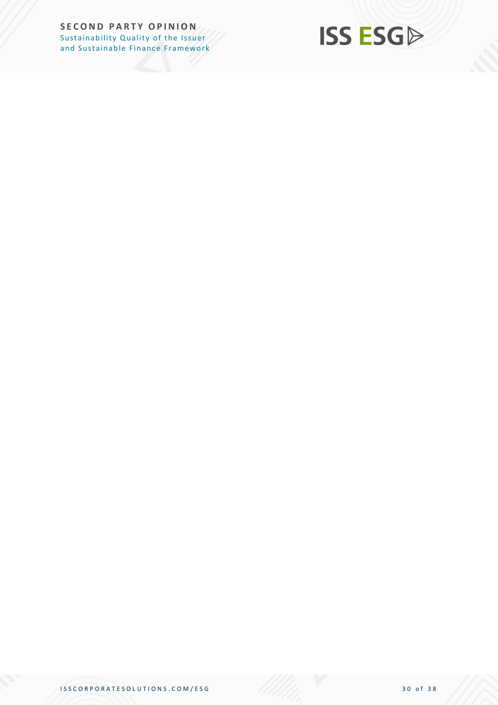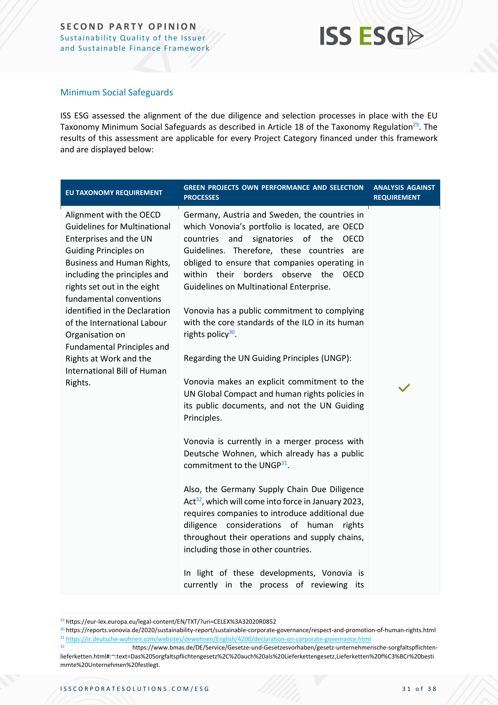**ISS ESG** 

#### Minimum Social Safeguards

ISS ESG assessed the alignment of the due diligence and selection processes in place with the EU Taxonomy Minimum Social Safeguards as described in Article 18 of the Taxonomy Regulation<sup>29</sup>. The results of this assessment are applicable for every Project Category financed under this framework and are displayed below:

| EU TAXONOMY REQUIREMENT                                                                                                                                                                                                                                                                                                                                                                                                                                    | <b>GREEN PROJECTS OWN PERFORMANCE AND SELECTION</b><br><b>PROCESSES</b>                                                                                                                                                                                                                                                                                                                                                                                                                                                                                                                                                                                                                        | <b>ANALYSIS AGAINST</b><br><b>REQUIREMENT</b> |
|------------------------------------------------------------------------------------------------------------------------------------------------------------------------------------------------------------------------------------------------------------------------------------------------------------------------------------------------------------------------------------------------------------------------------------------------------------|------------------------------------------------------------------------------------------------------------------------------------------------------------------------------------------------------------------------------------------------------------------------------------------------------------------------------------------------------------------------------------------------------------------------------------------------------------------------------------------------------------------------------------------------------------------------------------------------------------------------------------------------------------------------------------------------|-----------------------------------------------|
| Alignment with the OECD<br><b>Guidelines for Multinational</b><br>Enterprises and the UN<br><b>Guiding Principles on</b><br><b>Business and Human Rights,</b><br>including the principles and<br>rights set out in the eight<br>fundamental conventions<br>identified in the Declaration<br>of the International Labour<br>Organisation on<br><b>Fundamental Principles and</b><br>Rights at Work and the<br><b>International Bill of Human</b><br>Rights. | Germany, Austria and Sweden, the countries in<br>which Vonovia's portfolio is located, are OECD<br>countries and signatories of the OECD<br>Guidelines. Therefore, these countries are<br>obliged to ensure that companies operating in<br>within their<br>borders<br>observe the<br><b>OECD</b><br>Guidelines on Multinational Enterprise.<br>Vonovia has a public commitment to complying<br>with the core standards of the ILO in its human<br>rights policy <sup>30</sup> .<br>Regarding the UN Guiding Principles (UNGP):<br>Vonovia makes an explicit commitment to the<br>UN Global Compact and human rights policies in<br>its public documents, and not the UN Guiding<br>Principles. |                                               |
|                                                                                                                                                                                                                                                                                                                                                                                                                                                            | Vonovia is currently in a merger process with<br>Deutsche Wohnen, which already has a public<br>commitment to the UNGP <sup>31</sup> .<br>Also, the Germany Supply Chain Due Diligence<br>Act <sup>32</sup> , which will come into force in January 2023,<br>requires companies to introduce additional due<br>considerations of human<br>diligence<br>rights<br>throughout their operations and supply chains,<br>including those in other countries.                                                                                                                                                                                                                                         |                                               |
|                                                                                                                                                                                                                                                                                                                                                                                                                                                            | In light of these developments, Vonovia is<br>currently in the process of reviewing its                                                                                                                                                                                                                                                                                                                                                                                                                                                                                                                                                                                                        |                                               |

<sup>29</sup> https://eur-lex.europa.eu/legal-content/EN/TXT/?uri=CELEX%3A32020R0852

<sup>30</sup> https://reports.vonovia.de/2020/sustainability-report/sustainable-corporate-governance/respect-and-promotion-of-human-rights.html  $\frac{31 \text{ https://ir.deutsche-wohnen.com/websites/dewohnen/English/4200/declaration-on-corporte-governance.html}{\text{https://ir.deutsche-wohnen.com/websites/dewohnen/English/4200/declaration-on-corporte-governence.htm}}$ 

<sup>32</sup> https://www.bmas.de/DE/Service/Gesetze-und-Gesetzesvorhaben/gesetz-unternehmerische-sorgfaltspflichtenlieferketten.html#:~:text=Das%20Sorgfaltspflichtengesetz%2C%20auch%20als%20Lieferkettengesetz,Lieferketten%20f%C3%BCr%20besti mmte%20Unternehmen%20festlegt.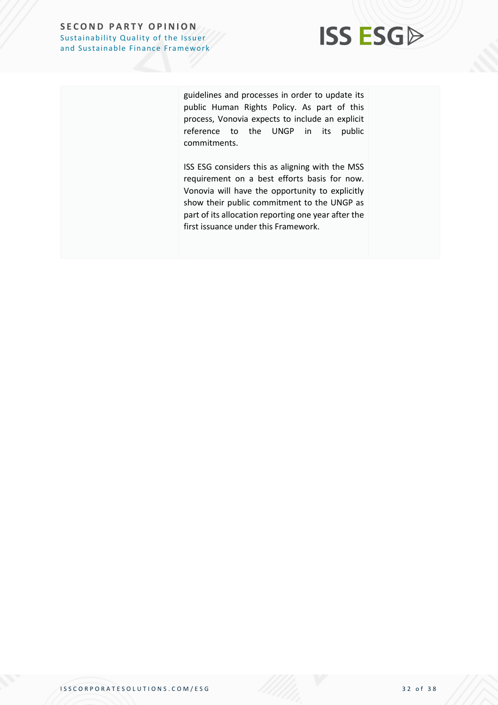

guidelines and processes in order to update its public Human Rights Policy. As part of this process, Vonovia expects to include an explicit reference to the UNGP in its public commitments.

ISS ESG considers this as aligning with the MSS requirement on a best efforts basis for now. Vonovia will have the opportunity to explicitly show their public commitment to the UNGP as part of its allocation reporting one year after the first issuance under this Framework.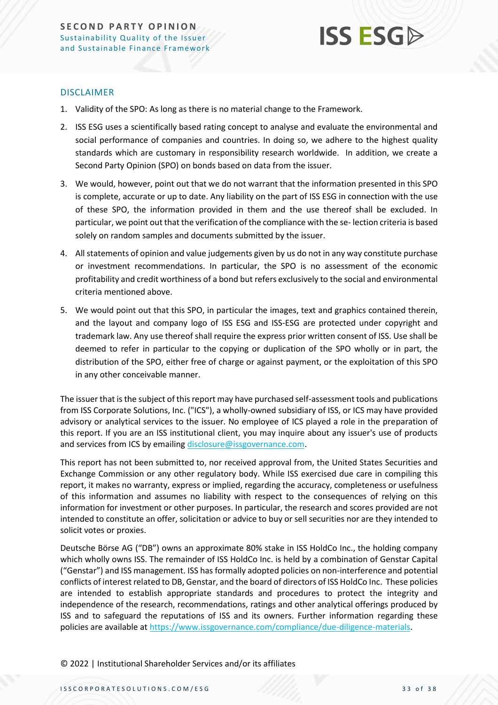

#### DISCLAIMER

- 1. Validity of the SPO: As long as there is no material change to the Framework.
- 2. ISS ESG uses a scientifically based rating concept to analyse and evaluate the environmental and social performance of companies and countries. In doing so, we adhere to the highest quality standards which are customary in responsibility research worldwide. In addition, we create a Second Party Opinion (SPO) on bonds based on data from the issuer.
- 3. We would, however, point out that we do not warrant that the information presented in this SPO is complete, accurate or up to date. Any liability on the part of ISS ESG in connection with the use of these SPO, the information provided in them and the use thereof shall be excluded. In particular, we point out that the verification of the compliance with the se- lection criteria is based solely on random samples and documents submitted by the issuer.
- 4. All statements of opinion and value judgements given by us do not in any way constitute purchase or investment recommendations. In particular, the SPO is no assessment of the economic profitability and credit worthiness of a bond but refers exclusively to the social and environmental criteria mentioned above.
- 5. We would point out that this SPO, in particular the images, text and graphics contained therein, and the layout and company logo of ISS ESG and ISS-ESG are protected under copyright and trademark law. Any use thereof shall require the express prior written consent of ISS. Use shall be deemed to refer in particular to the copying or duplication of the SPO wholly or in part, the distribution of the SPO, either free of charge or against payment, or the exploitation of this SPO in any other conceivable manner.

The issuer that is the subject of this report may have purchased self-assessment tools and publications from ISS Corporate Solutions, Inc. ("ICS"), a wholly-owned subsidiary of ISS, or ICS may have provided advisory or analytical services to the issuer. No employee of ICS played a role in the preparation of this report. If you are an ISS institutional client, you may inquire about any issuer's use of products and services from ICS by emailin[g disclosure@issgovernance.com.](mailto:disclosure@issgovernance.com)

This report has not been submitted to, nor received approval from, the United States Securities and Exchange Commission or any other regulatory body. While ISS exercised due care in compiling this report, it makes no warranty, express or implied, regarding the accuracy, completeness or usefulness of this information and assumes no liability with respect to the consequences of relying on this information for investment or other purposes. In particular, the research and scores provided are not intended to constitute an offer, solicitation or advice to buy or sell securities nor are they intended to solicit votes or proxies.

Deutsche Börse AG ("DB") owns an approximate 80% stake in ISS HoldCo Inc., the holding company which wholly owns ISS. The remainder of ISS HoldCo Inc. is held by a combination of Genstar Capital ("Genstar") and ISS management. ISS has formally adopted policies on non-interference and potential conflicts of interest related to DB, Genstar, and the board of directors of ISS HoldCo Inc. These policies are intended to establish appropriate standards and procedures to protect the integrity and independence of the research, recommendations, ratings and other analytical offerings produced by ISS and to safeguard the reputations of ISS and its owners. Further information regarding these policies are available a[t https://www.issgovernance.com/compliance/due-diligence-materials.](https://www.issgovernance.com/compliance/due-diligence-materials)

© 2022 | Institutional Shareholder Services and/or its affiliates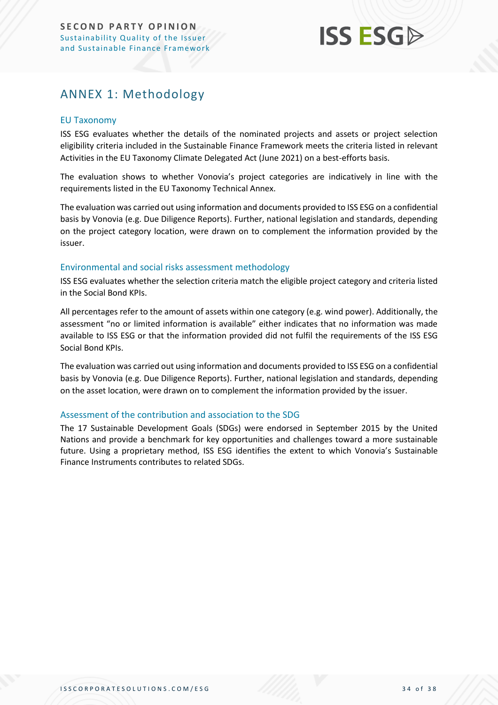# **ISS ESG**

# <span id="page-33-0"></span>ANNEX 1: Methodology

#### EU Taxonomy

ISS ESG evaluates whether the details of the nominated projects and assets or project selection eligibility criteria included in the Sustainable Finance Framework meets the criteria listed in relevant Activities in the EU Taxonomy Climate Delegated Act (June 2021) on a best-efforts basis.

The evaluation shows to whether Vonovia's project categories are indicatively in line with the requirements listed in the EU Taxonomy Technical Annex.

The evaluation was carried out using information and documents provided to ISS ESG on a confidential basis by Vonovia (e.g. Due Diligence Reports). Further, national legislation and standards, depending on the project category location, were drawn on to complement the information provided by the issuer.

#### Environmental and social risks assessment methodology

ISS ESG evaluates whether the selection criteria match the eligible project category and criteria listed in the Social Bond KPIs.

All percentages refer to the amount of assets within one category (e.g. wind power). Additionally, the assessment "no or limited information is available" either indicates that no information was made available to ISS ESG or that the information provided did not fulfil the requirements of the ISS ESG Social Bond KPIs.

The evaluation was carried out using information and documents provided to ISS ESG on a confidential basis by Vonovia (e.g. Due Diligence Reports). Further, national legislation and standards, depending on the asset location, were drawn on to complement the information provided by the issuer.

#### Assessment of the contribution and association to the SDG

The 17 Sustainable Development Goals (SDGs) were endorsed in September 2015 by the United Nations and provide a benchmark for key opportunities and challenges toward a more sustainable future. Using a proprietary method, ISS ESG identifies the extent to which Vonovia's Sustainable Finance Instruments contributes to related SDGs.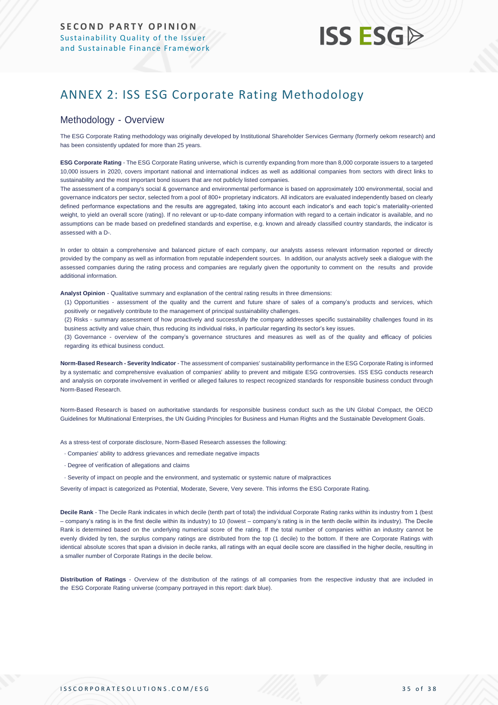# **ISS ESG**

# <span id="page-34-0"></span>ANNEX 2: ISS ESG Corporate Rating Methodology

#### Methodology - Overview

The ESG Corporate Rating methodology was originally developed by Institutional Shareholder Services Germany (formerly oekom research) and has been consistently updated for more than 25 years.

**ESG Corporate Rating** - The ESG Corporate Rating universe, which is currently expanding from more than 8,000 corporate issuers to a targeted 10,000 issuers in 2020, covers important national and international indices as well as additional companies from sectors with direct links to sustainability and the most important bond issuers that are not publicly listed companies.

The assessment of a company's social & governance and environmental performance is based on approximately 100 environmental, social and governance indicators per sector, selected from a pool of 800+ proprietary indicators. All indicators are evaluated independently based on clearly defined performance expectations and the results are aggregated, taking into account each indicator's and each topic's materiality-oriented weight, to yield an overall score (rating). If no relevant or up-to-date company information with regard to a certain indicator is available, and no assumptions can be made based on predefined standards and expertise, e.g. known and already classified country standards, the indicator is assessed with a D-.

In order to obtain a comprehensive and balanced picture of each company, our analysts assess relevant information reported or directly provided by the company as well as information from reputable independent sources. In addition, our analysts actively seek a dialogue with the assessed companies during the rating process and companies are regularly given the opportunity to comment on the results and provide additional information.

**Analyst Opinion** - Qualitative summary and explanation of the central rating results in three dimensions:

(1) Opportunities - assessment of the quality and the current and future share of sales of a company's products and services, which positively or negatively contribute to the management of principal sustainability challenges.

(2) Risks - summary assessment of how proactively and successfully the company addresses specific sustainability challenges found in its business activity and value chain, thus reducing its individual risks, in particular regarding its sector's key issues.

(3) Governance - overview of the company's governance structures and measures as well as of the quality and efficacy of policies regarding its ethical business conduct.

**Norm-Based Research - Severity Indicator** - The assessment of companies' sustainability performance in the ESG Corporate Rating is informed by a systematic and comprehensive evaluation of companies' ability to prevent and mitigate ESG controversies. ISS ESG conducts research and analysis on corporate involvement in verified [or alleged failures to respect recognized standards for responsible business conduct through](https://www.issgovernance.com/esg/screening/esg-screening-solutions/#nbr_techdoc_download)  [Norm-Based](https://www.issgovernance.com/esg/screening/esg-screening-solutions/#nbr_techdoc_download) Research.

Norm-Based Research is based on authoritative standards for responsible business conduct such as the UN Global Compact, the OECD Guidelines for Multinational Enterprises, the UN Guiding Principles for Business and Human Rights and the Sustainable Development Goals.

As a stress-test of corporate disclosure, Norm-Based Research assesses the following:

- Companies' ability to address grievances and remediate negative impacts
- Degree of verification of allegations and claims
- Severity of impact on people and the environment, and systematic or systemic nature of malpractices

Severity of impact is categorized as Potential, Moderate, Severe, Very severe. This informs the ESG Corporate Rating.

**Decile Rank** - The Decile Rank indicates in which decile (tenth part of total) the individual Corporate Rating ranks within its industry from 1 (best – company's rating is in the first decile within its industry) to 10 (lowest – company's rating is in the tenth decile within its industry). The Decile Rank is determined based on the underlying numerical score of the rating. If the total number of companies within an industry cannot be evenly divided by ten, the surplus company ratings are distributed from the top (1 decile) to the bottom. If there are Corporate Ratings with identical absolute scores that span a division in decile ranks, all ratings with an equal decile score are classified in the higher decile, resulting in a smaller number of Corporate Ratings in the decile below.

**Distribution of Ratings** - Overview of the distribution of the ratings of all companies from the respective industry that are included in the ESG Corporate Rating universe (company portrayed in this report: dark blue).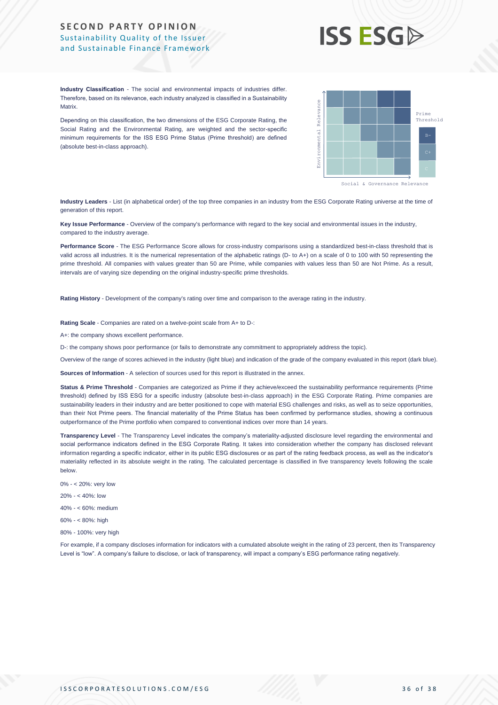

**Industry Classification** - The social and environmental impacts of industries differ. Therefore, based on its relevance, each industry analyzed is classified in a Sustainability Matrix.

Depending on this classification, the two dimensions of the ESG Corporate Rating, the Social Rating and the Environmental Rating, are weighted and the sector-specific minimum requirements for the ISS ESG Prime Status (Prime threshold) are defined (absolute best-in-class approach).



**Industry Leaders** - List (in alphabetical order) of the top three companies in an industry from the ESG Corporate Rating universe at the time of generation of this report.

**Key Issue Performance** - Overview of the company's performance with regard to the key social and environmental issues in the industry, compared to the industry average.

**Performance Score** - The ESG Performance Score allows for cross-industry comparisons using a standardized best-in-class threshold that is valid across all industries. It is the numerical representation of the alphabetic ratings (D- to A+) on a scale of 0 to 100 with 50 representing the prime threshold. All companies with values greater than 50 are Prime, while companies with values less than 50 are Not Prime. As a result, intervals are of varying size depending on the original industry-specific prime thresholds.

**Rating History** - Development of the company's rating over time and comparison to the average rating in the industry.

**Rating Scale** - Companies are rated on a twelve-point scale from A+ to D-:

A+: the company shows excellent performance.

D-: the company shows poor performance (or fails to demonstrate any commitment to appropriately address the topic).

Overview of the range of scores achieved in the industry (light blue) and indication of the grade of the company evaluated in this report (dark blue).

**Sources of Information** - A selection of sources used for this report is illustrated in the annex.

Status & Prime Threshold - Companies are categorized as Prime if they achieve/exceed the sustainability performance requirements (Prime threshold) defined by ISS ESG for a specific industry (absolute best-in-class approach) in the ESG Corporate Rating. Prime companies are sustainability leaders in their industry and are better positioned to cope with material ESG challenges and risks, as well as to seize opportunities, than their Not Prime peers. The financial materiality of the Prime Status has been confirmed by performance studies, showing a continuous outperformance of the Prime portfolio when compared to conventional indices over more than 14 years.

**Transparency Level** - The Transparency Level indicates the company's materiality-adjusted disclosure level regarding the environmental and social performance indicators defined in the ESG Corporate Rating. It takes into consideration whether the company has disclosed relevant information regarding a specific indicator, either in its public ESG disclosures or as part of the rating feedback process, as well as the indicator's materiality reflected in its absolute weight in the rating. The calculated percentage is classified in five transparency levels following the scale below. Nettro. The meaning interest of the disclose or length of the state of transparency in the company of the company of the disclose or lack of the state of the disclose or lack of the state of the state of the state of the s

- 0% < 20%: very low
- 20% < 40%: low
- 40% < 60%: medium
- $60\% < 80\%$ ; high
- 80% 100%: very high

For example, if a company discloses information for indicators with a cumulated absolute weight in the rating of 23 percent, then its Transparency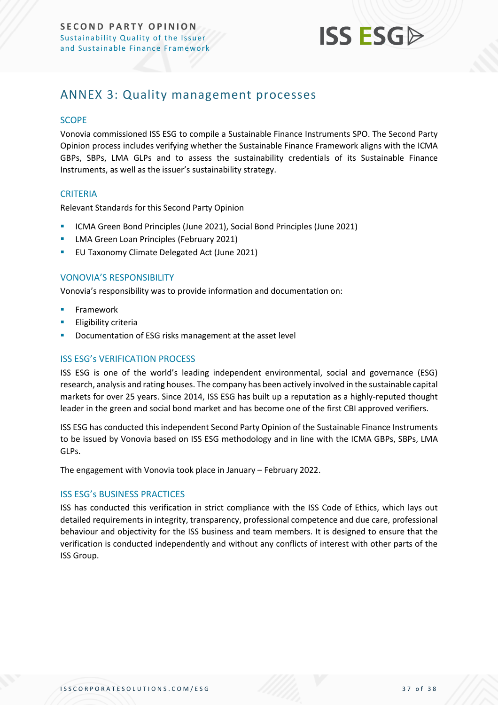

# <span id="page-36-0"></span>ANNEX 3: Quality management processes

#### **SCOPE**

Vonovia commissioned ISS ESG to compile a Sustainable Finance Instruments SPO. The Second Party Opinion process includes verifying whether the Sustainable Finance Framework aligns with the ICMA GBPs, SBPs, LMA GLPs and to assess the sustainability credentials of its Sustainable Finance Instruments, as well as the issuer's sustainability strategy.

#### **CRITERIA**

Relevant Standards for this Second Party Opinion

- ICMA Green Bond Principles (June 2021), Social Bond Principles (June 2021)
- LMA Green Loan Principles (February 2021)
- EU Taxonomy Climate Delegated Act (June 2021)

#### VONOVIA'S RESPONSIBILITY

Vonovia's responsibility was to provide information and documentation on:

- **Framework**
- **Eligibility criteria**
- Documentation of ESG risks management at the asset level

#### ISS ESG's VERIFICATION PROCESS

ISS ESG is one of the world's leading independent environmental, social and governance (ESG) research, analysis and rating houses. The company has been actively involved in the sustainable capital markets for over 25 years. Since 2014, ISS ESG has built up a reputation as a highly-reputed thought leader in the green and social bond market and has become one of the first CBI approved verifiers.

ISS ESG has conducted this independent Second Party Opinion of the Sustainable Finance Instruments to be issued by Vonovia based on ISS ESG methodology and in line with the ICMA GBPs, SBPs, LMA GLPs.

The engagement with Vonovia took place in January – February 2022.

#### ISS ESG's BUSINESS PRACTICES

ISS has conducted this verification in strict compliance with the ISS Code of Ethics, which lays out detailed requirements in integrity, transparency, professional competence and due care, professional behaviour and objectivity for the ISS business and team members. It is designed to ensure that the verification is conducted independently and without any conflicts of interest with other parts of the ISS Group.